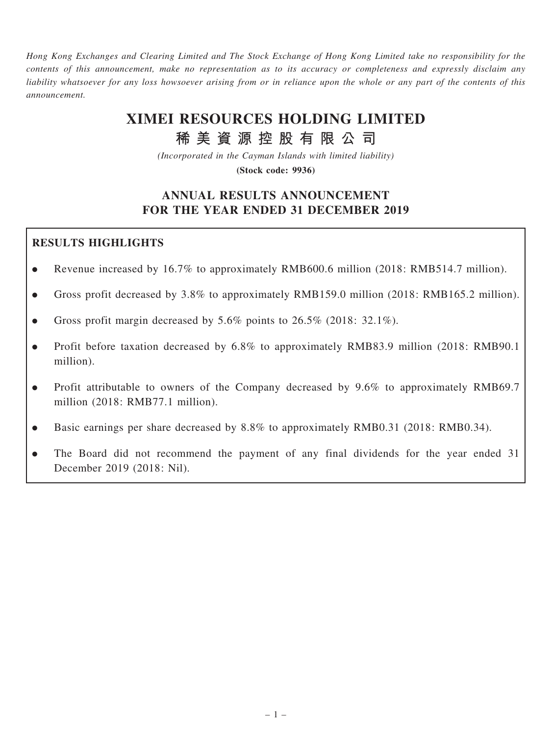Hong Kong Exchanges and Clearing Limited and The Stock Exchange of Hong Kong Limited take no responsibility for the contents of this announcement, make no representation as to its accuracy or completeness and expressly disclaim any liability whatsoever for any loss howsoever arising from or in reliance upon the whole or any part of the contents of this announcement.

# XIMEI RESOURCES HOLDING LIMITED

稀 美 資 源 控 股 有 限 公 司

(Incorporated in the Cayman Islands with limited liability)

(Stock code: 9936)

# ANNUAL RESULTS ANNOUNCEMENT FOR THE YEAR ENDED 31 DECEMBER 2019

# RESULTS HIGHLIGHTS

- . Revenue increased by 16.7% to approximately RMB600.6 million (2018: RMB514.7 million).
- . Gross profit decreased by 3.8% to approximately RMB159.0 million (2018: RMB165.2 million).
- Gross profit margin decreased by  $5.6\%$  points to  $26.5\%$  (2018: 32.1%).
- . Profit before taxation decreased by 6.8% to approximately RMB83.9 million (2018: RMB90.1 million).
- . Profit attributable to owners of the Company decreased by 9.6% to approximately RMB69.7 million (2018: RMB77.1 million).
- . Basic earnings per share decreased by 8.8% to approximately RMB0.31 (2018: RMB0.34).
- . The Board did not recommend the payment of any final dividends for the year ended 31 December 2019 (2018: Nil).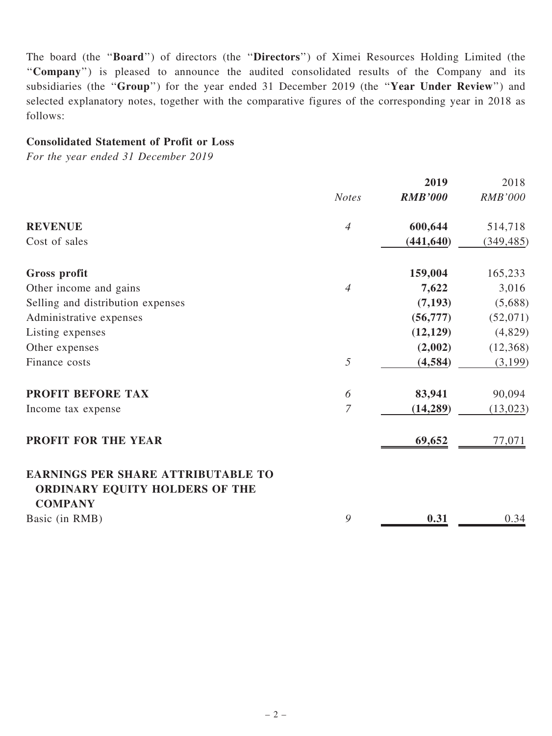The board (the ''Board'') of directors (the ''Directors'') of Ximei Resources Holding Limited (the ''Company'') is pleased to announce the audited consolidated results of the Company and its subsidiaries (the "Group") for the year ended 31 December 2019 (the "Year Under Review") and selected explanatory notes, together with the comparative figures of the corresponding year in 2018 as follows:

## Consolidated Statement of Profit or Loss

For the year ended 31 December 2019

|                                                                                               |                | 2019           | 2018           |
|-----------------------------------------------------------------------------------------------|----------------|----------------|----------------|
|                                                                                               | <b>Notes</b>   | <b>RMB'000</b> | <b>RMB'000</b> |
| <b>REVENUE</b>                                                                                | $\overline{4}$ | 600,644        | 514,718        |
| Cost of sales                                                                                 |                | (441, 640)     | (349, 485)     |
| <b>Gross profit</b>                                                                           |                | 159,004        | 165,233        |
| Other income and gains                                                                        | 4              | 7,622          | 3,016          |
| Selling and distribution expenses                                                             |                | (7, 193)       | (5,688)        |
| Administrative expenses                                                                       |                | (56, 777)      | (52,071)       |
| Listing expenses                                                                              |                | (12, 129)      | (4,829)        |
| Other expenses                                                                                |                | (2,002)        | (12,368)       |
| Finance costs                                                                                 | 5              | (4, 584)       | (3,199)        |
| PROFIT BEFORE TAX                                                                             | 6              | 83,941         | 90,094         |
| Income tax expense                                                                            | 7              | (14, 289)      | (13, 023)      |
| PROFIT FOR THE YEAR                                                                           |                | 69,652         | 77,071         |
| <b>EARNINGS PER SHARE ATTRIBUTABLE TO</b><br>ORDINARY EQUITY HOLDERS OF THE<br><b>COMPANY</b> |                |                |                |
| Basic (in RMB)                                                                                | 9              | 0.31           | 0.34           |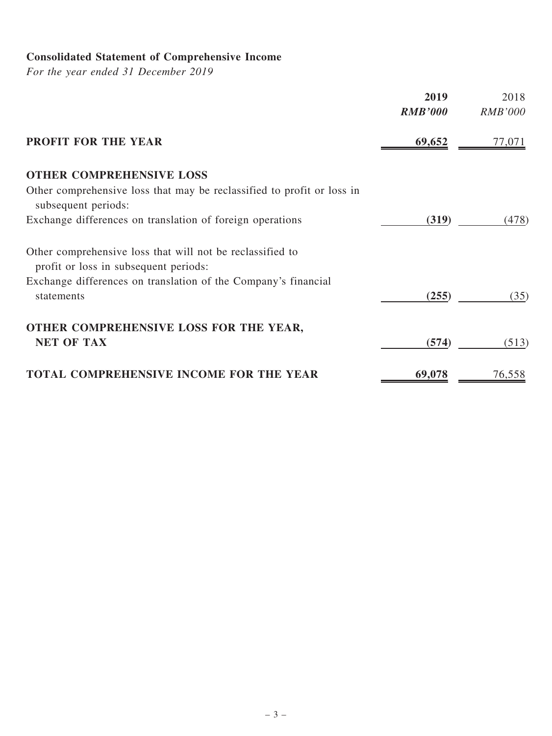# Consolidated Statement of Comprehensive Income

For the year ended 31 December 2019

|                                                                                                    | 2019<br><b>RMB'000</b> | 2018<br><b>RMB'000</b> |
|----------------------------------------------------------------------------------------------------|------------------------|------------------------|
| PROFIT FOR THE YEAR                                                                                | 69,652                 | 77,071                 |
| <b>OTHER COMPREHENSIVE LOSS</b>                                                                    |                        |                        |
| Other comprehensive loss that may be reclassified to profit or loss in<br>subsequent periods:      |                        |                        |
| Exchange differences on translation of foreign operations                                          | (319)                  | (478)                  |
| Other comprehensive loss that will not be reclassified to<br>profit or loss in subsequent periods: |                        |                        |
| Exchange differences on translation of the Company's financial<br>statements                       | (255)                  | (35)                   |
| OTHER COMPREHENSIVE LOSS FOR THE YEAR,<br><b>NET OF TAX</b>                                        | (574)                  | (513)                  |
| <b>TOTAL COMPREHENSIVE INCOME FOR THE YEAR</b>                                                     | 69,078                 | 76,558                 |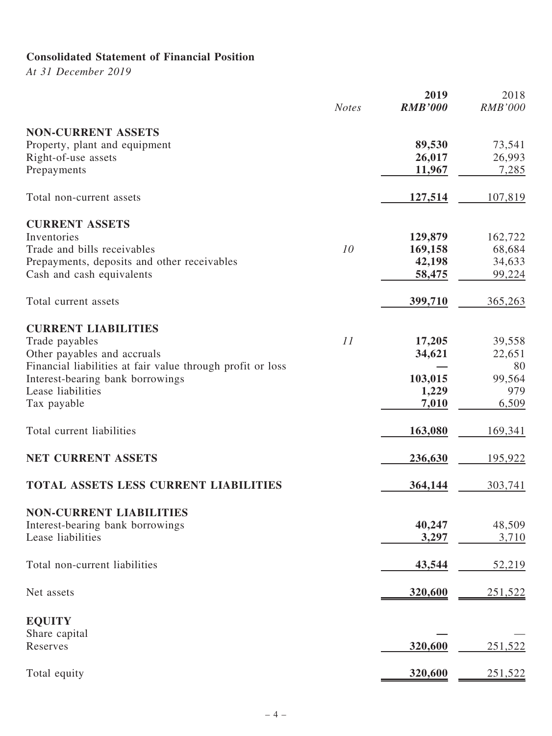# Consolidated Statement of Financial Position

At 31 December 2019

|                                                            | <b>Notes</b> | 2019<br><b>RMB'000</b> | 2018<br><b>RMB'000</b> |
|------------------------------------------------------------|--------------|------------------------|------------------------|
| <b>NON-CURRENT ASSETS</b>                                  |              |                        |                        |
| Property, plant and equipment                              |              | 89,530                 | 73,541                 |
| Right-of-use assets                                        |              | 26,017                 | 26,993                 |
| Prepayments                                                |              | 11,967                 | 7,285                  |
| Total non-current assets                                   |              | 127,514                | 107,819                |
| <b>CURRENT ASSETS</b>                                      |              |                        |                        |
| Inventories                                                |              | 129,879                | 162,722                |
| Trade and bills receivables                                | 10           | 169,158                | 68,684                 |
| Prepayments, deposits and other receivables                |              | 42,198                 | 34,633                 |
| Cash and cash equivalents                                  |              | 58,475                 | 99,224                 |
| Total current assets                                       |              | 399,710                | 365,263                |
| <b>CURRENT LIABILITIES</b>                                 |              |                        |                        |
| Trade payables                                             | 11           | 17,205                 | 39,558                 |
| Other payables and accruals                                |              | 34,621                 | 22,651                 |
| Financial liabilities at fair value through profit or loss |              |                        | 80                     |
| Interest-bearing bank borrowings                           |              | 103,015                | 99,564                 |
| Lease liabilities                                          |              | 1,229                  | 979                    |
| Tax payable                                                |              | 7,010                  | 6,509                  |
| Total current liabilities                                  |              | 163,080                | 169,341                |
| NET CURRENT ASSETS                                         |              | 236,630                | 195,922                |
| <b>TOTAL ASSETS LESS CURRENT LIABILITIES</b>               |              | 364,144                | 303,741                |
| <b>NON-CURRENT LIABILITIES</b>                             |              |                        |                        |
| Interest-bearing bank borrowings                           |              | 40,247                 | 48,509                 |
| Lease liabilities                                          |              | 3,297                  | 3,710                  |
|                                                            |              |                        |                        |
| Total non-current liabilities                              |              | 43,544                 | 52,219                 |
| Net assets                                                 |              | 320,600                | 251,522                |
| <b>EQUITY</b>                                              |              |                        |                        |
| Share capital                                              |              |                        |                        |
| Reserves                                                   |              | 320,600                | 251,522                |
|                                                            |              |                        |                        |
| Total equity                                               |              | 320,600                | 251,522                |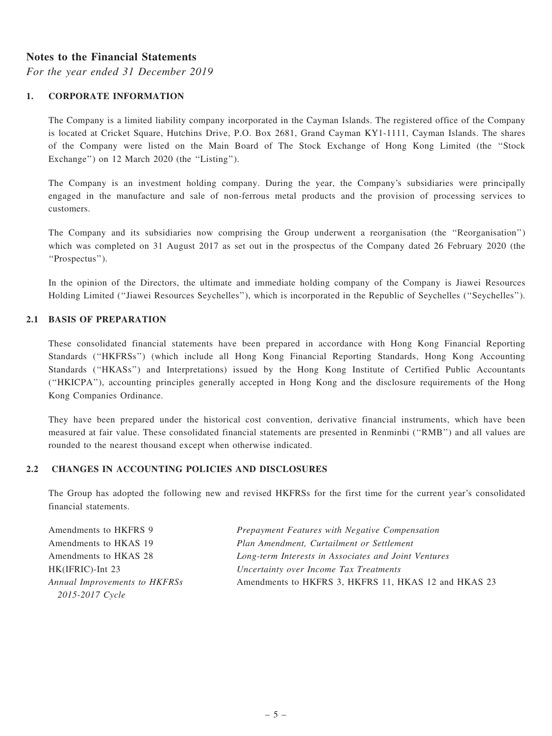#### Notes to the Financial Statements

For the year ended 31 December 2019

#### 1. CORPORATE INFORMATION

The Company is a limited liability company incorporated in the Cayman Islands. The registered office of the Company is located at Cricket Square, Hutchins Drive, P.O. Box 2681, Grand Cayman KY1-1111, Cayman Islands. The shares of the Company were listed on the Main Board of The Stock Exchange of Hong Kong Limited (the ''Stock Exchange") on 12 March 2020 (the "Listing").

The Company is an investment holding company. During the year, the Company's subsidiaries were principally engaged in the manufacture and sale of non-ferrous metal products and the provision of processing services to customers.

The Company and its subsidiaries now comprising the Group underwent a reorganisation (the ''Reorganisation'') which was completed on 31 August 2017 as set out in the prospectus of the Company dated 26 February 2020 (the ''Prospectus'').

In the opinion of the Directors, the ultimate and immediate holding company of the Company is Jiawei Resources Holding Limited (''Jiawei Resources Seychelles''), which is incorporated in the Republic of Seychelles (''Seychelles'').

#### 2.1 BASIS OF PREPARATION

These consolidated financial statements have been prepared in accordance with Hong Kong Financial Reporting Standards (''HKFRSs'') (which include all Hong Kong Financial Reporting Standards, Hong Kong Accounting Standards (''HKASs'') and Interpretations) issued by the Hong Kong Institute of Certified Public Accountants (''HKICPA''), accounting principles generally accepted in Hong Kong and the disclosure requirements of the Hong Kong Companies Ordinance.

They have been prepared under the historical cost convention, derivative financial instruments, which have been measured at fair value. These consolidated financial statements are presented in Renminbi (''RMB'') and all values are rounded to the nearest thousand except when otherwise indicated.

#### 2.2 CHANGES IN ACCOUNTING POLICIES AND DISCLOSURES

The Group has adopted the following new and revised HKFRSs for the first time for the current year's consolidated financial statements.

| Amendments to HKFRS 9         | Prepayment Features with Negative Compensation       |
|-------------------------------|------------------------------------------------------|
| Amendments to HKAS 19         | Plan Amendment, Curtailment or Settlement            |
| Amendments to HKAS 28         | Long-term Interests in Associates and Joint Ventures |
| HK(IFRIC)-Int 23              | Uncertainty over Income Tax Treatments               |
| Annual Improvements to HKFRSs | Amendments to HKFRS 3, HKFRS 11, HKAS 12 and HKAS 23 |
| 2015-2017 Cycle               |                                                      |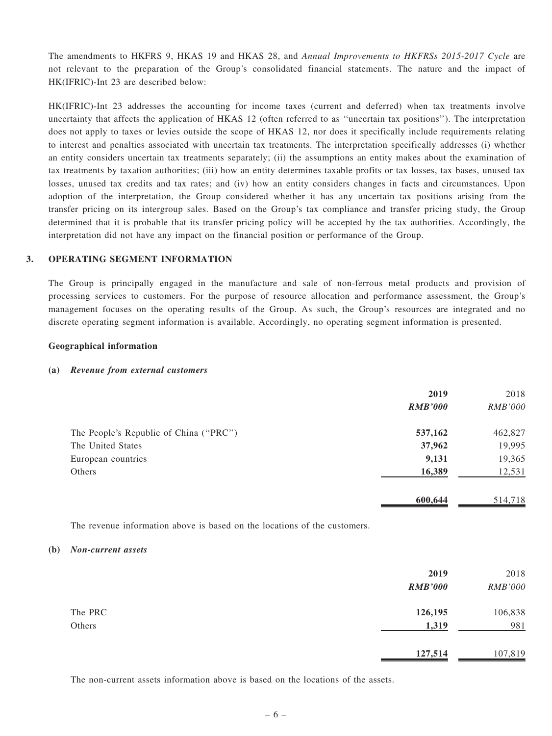The amendments to HKFRS 9, HKAS 19 and HKAS 28, and Annual Improvements to HKFRSs 2015-2017 Cycle are not relevant to the preparation of the Group's consolidated financial statements. The nature and the impact of HK(IFRIC)-Int 23 are described below:

HK(IFRIC)-Int 23 addresses the accounting for income taxes (current and deferred) when tax treatments involve uncertainty that affects the application of HKAS 12 (often referred to as ''uncertain tax positions''). The interpretation does not apply to taxes or levies outside the scope of HKAS 12, nor does it specifically include requirements relating to interest and penalties associated with uncertain tax treatments. The interpretation specifically addresses (i) whether an entity considers uncertain tax treatments separately; (ii) the assumptions an entity makes about the examination of tax treatments by taxation authorities; (iii) how an entity determines taxable profits or tax losses, tax bases, unused tax losses, unused tax credits and tax rates; and (iv) how an entity considers changes in facts and circumstances. Upon adoption of the interpretation, the Group considered whether it has any uncertain tax positions arising from the transfer pricing on its intergroup sales. Based on the Group's tax compliance and transfer pricing study, the Group determined that it is probable that its transfer pricing policy will be accepted by the tax authorities. Accordingly, the interpretation did not have any impact on the financial position or performance of the Group.

#### 3. OPERATING SEGMENT INFORMATION

The Group is principally engaged in the manufacture and sale of non-ferrous metal products and provision of processing services to customers. For the purpose of resource allocation and performance assessment, the Group's management focuses on the operating results of the Group. As such, the Group's resources are integrated and no discrete operating segment information is available. Accordingly, no operating segment information is presented.

#### Geographical information

#### (a) Revenue from external customers

|                                        | 2019           | 2018           |
|----------------------------------------|----------------|----------------|
|                                        | <b>RMB'000</b> | <b>RMB'000</b> |
| The People's Republic of China ("PRC") | 537,162        | 462,827        |
| The United States                      | 37,962         | 19,995         |
| European countries                     | 9,131          | 19,365         |
| Others                                 | 16,389         | 12,531         |
|                                        | 600,644        | 514,718        |

The revenue information above is based on the locations of the customers.

#### (b) Non-current assets

|         | 2019<br><b>RMB'000</b> | 2018<br>RMB'000 |
|---------|------------------------|-----------------|
| The PRC | 126,195                | 106,838         |
| Others  | 1,319                  | 981             |
|         | 127,514                | 107,819         |

The non-current assets information above is based on the locations of the assets.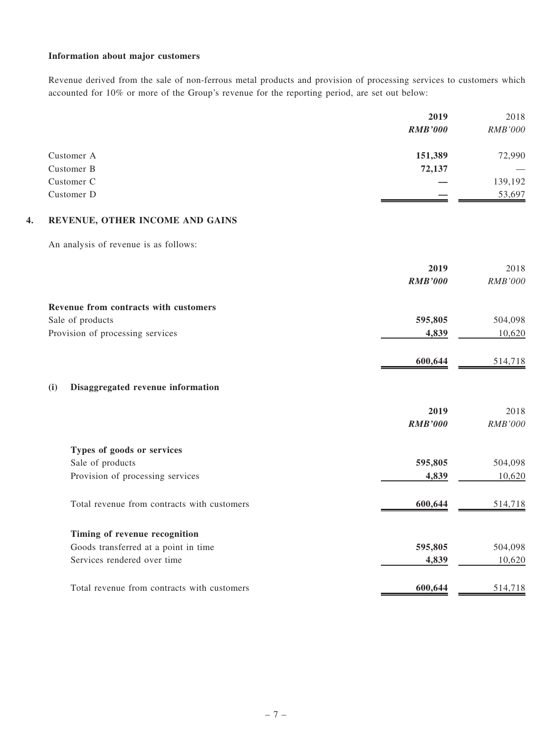#### Information about major customers

Revenue derived from the sale of non-ferrous metal products and provision of processing services to customers which accounted for 10% or more of the Group's revenue for the reporting period, are set out below:

|            | 2019           | 2018           |
|------------|----------------|----------------|
|            | <b>RMB'000</b> | <b>RMB'000</b> |
| Customer A | 151,389        | 72,990         |
| Customer B | 72,137         |                |
| Customer C |                | 139,192        |
| Customer D |                | 53,697         |

#### 4. REVENUE, OTHER INCOME AND GAINS

An analysis of revenue is as follows:

|                                             | 2019           | 2018           |
|---------------------------------------------|----------------|----------------|
|                                             | <b>RMB'000</b> | RMB'000        |
| Revenue from contracts with customers       |                |                |
| Sale of products                            | 595,805        | 504,098        |
| Provision of processing services            | 4,839          | 10,620         |
|                                             | 600,644        | 514,718        |
| Disaggregated revenue information<br>(i)    |                |                |
|                                             | 2019           | 2018           |
|                                             | <b>RMB'000</b> | <b>RMB'000</b> |
| Types of goods or services                  |                |                |
| Sale of products                            | 595,805        | 504,098        |
| Provision of processing services            | 4,839          | 10,620         |
| Total revenue from contracts with customers | 600,644        | 514,718        |
| Timing of revenue recognition               |                |                |
| Goods transferred at a point in time        | 595,805        | 504,098        |
| Services rendered over time                 | 4,839          | 10,620         |
| Total revenue from contracts with customers | 600,644        | 514,718        |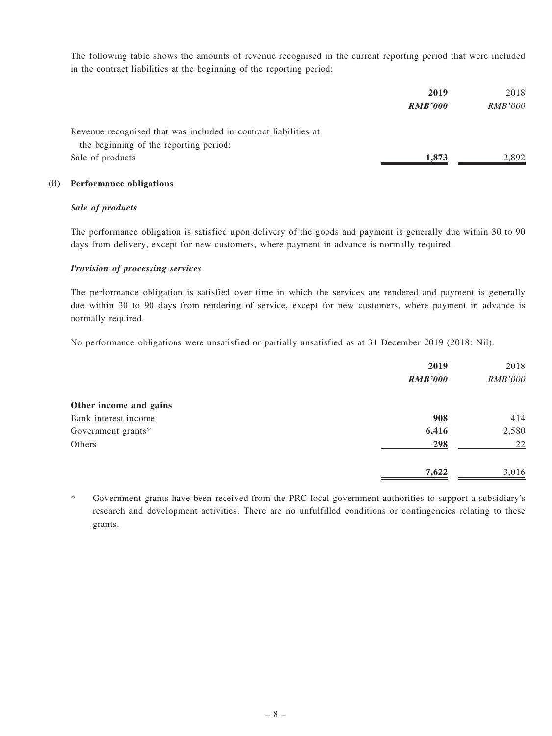The following table shows the amounts of revenue recognised in the current reporting period that were included in the contract liabilities at the beginning of the reporting period:

|                                                                 | 2019           | 2018           |
|-----------------------------------------------------------------|----------------|----------------|
|                                                                 | <b>RMB'000</b> | <i>RMB'000</i> |
| Revenue recognised that was included in contract liabilities at |                |                |
| the beginning of the reporting period:                          |                |                |
| Sale of products                                                | 1.873          | 2.892          |

#### (ii) Performance obligations

#### Sale of products

The performance obligation is satisfied upon delivery of the goods and payment is generally due within 30 to 90 days from delivery, except for new customers, where payment in advance is normally required.

#### Provision of processing services

The performance obligation is satisfied over time in which the services are rendered and payment is generally due within 30 to 90 days from rendering of service, except for new customers, where payment in advance is normally required.

No performance obligations were unsatisfied or partially unsatisfied as at 31 December 2019 (2018: Nil).

|                        | 2019           | 2018           |
|------------------------|----------------|----------------|
|                        | <b>RMB'000</b> | <b>RMB'000</b> |
| Other income and gains |                |                |
| Bank interest income   | 908            | 414            |
| Government grants*     | 6,416          | 2,580          |
| Others                 | 298            | 22             |
|                        | 7,622          | 3,016          |

\* Government grants have been received from the PRC local government authorities to support a subsidiary's research and development activities. There are no unfulfilled conditions or contingencies relating to these grants.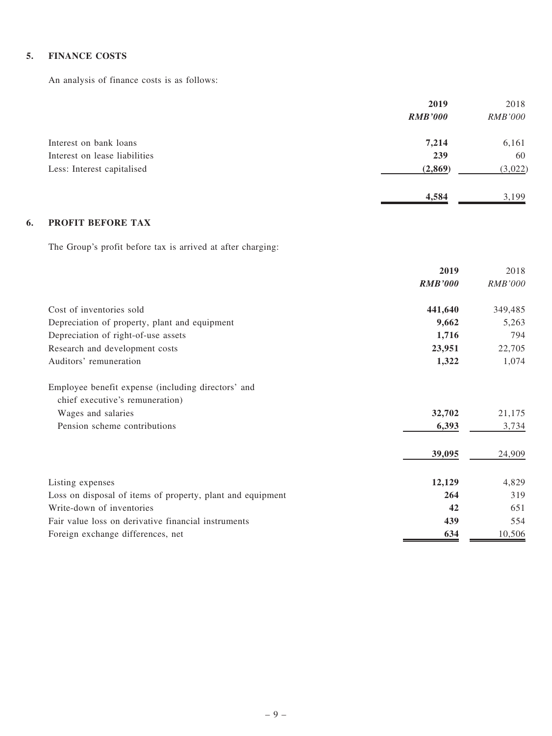#### 5. FINANCE COSTS

An analysis of finance costs is as follows:

|                               | 2019           | 2018           |
|-------------------------------|----------------|----------------|
|                               | <b>RMB'000</b> | <b>RMB'000</b> |
| Interest on bank loans        | 7,214          | 6,161          |
| Interest on lease liabilities | 239            | 60             |
| Less: Interest capitalised    | (2, 869)       | (3,022)        |
|                               | 4,584          | 3.199          |

## 6. PROFIT BEFORE TAX

The Group's profit before tax is arrived at after charging:

|                                                                                       | 2019           | 2018           |
|---------------------------------------------------------------------------------------|----------------|----------------|
|                                                                                       | <b>RMB'000</b> | <b>RMB'000</b> |
| Cost of inventories sold                                                              | 441,640        | 349,485        |
| Depreciation of property, plant and equipment                                         | 9,662          | 5,263          |
| Depreciation of right-of-use assets                                                   | 1,716          | 794            |
| Research and development costs                                                        | 23,951         | 22,705         |
| Auditors' remuneration                                                                | 1,322          | 1,074          |
| Employee benefit expense (including directors' and<br>chief executive's remuneration) |                |                |
| Wages and salaries                                                                    | 32,702         | 21,175         |
| Pension scheme contributions                                                          | 6,393          | 3,734          |
|                                                                                       | 39,095         | 24,909         |
| Listing expenses                                                                      | 12,129         | 4,829          |
| Loss on disposal of items of property, plant and equipment                            | 264            | 319            |
| Write-down of inventories                                                             | 42             | 651            |
| Fair value loss on derivative financial instruments                                   | 439            | 554            |
| Foreign exchange differences, net                                                     | 634            | 10,506         |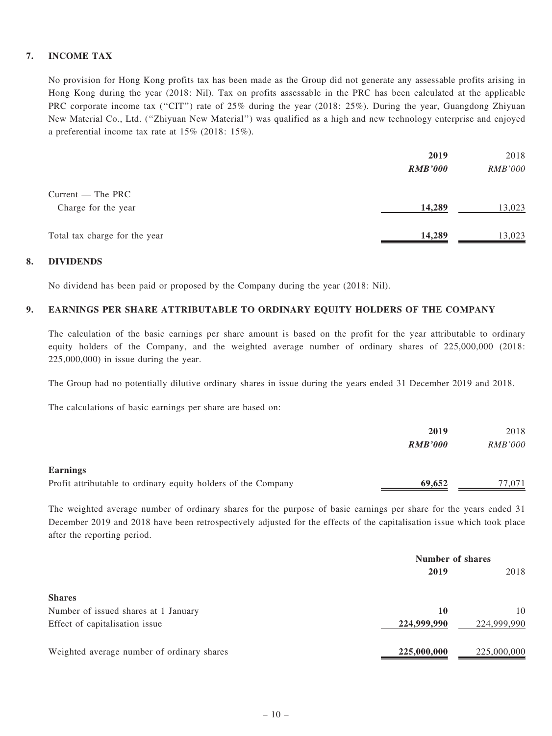#### 7. INCOME TAX

No provision for Hong Kong profits tax has been made as the Group did not generate any assessable profits arising in Hong Kong during the year (2018: Nil). Tax on profits assessable in the PRC has been calculated at the applicable PRC corporate income tax (''CIT'') rate of 25% during the year (2018: 25%). During the year, Guangdong Zhiyuan New Material Co., Ltd. (''Zhiyuan New Material'') was qualified as a high and new technology enterprise and enjoyed a preferential income tax rate at 15% (2018: 15%).

|                               | 2019           | 2018           |
|-------------------------------|----------------|----------------|
|                               | <b>RMB'000</b> | <i>RMB'000</i> |
| $Current$ – The PRC           |                |                |
| Charge for the year           | 14,289         | 13,023         |
|                               |                |                |
| Total tax charge for the year | 14,289         | 13,023         |

#### 8. DIVIDENDS

No dividend has been paid or proposed by the Company during the year (2018: Nil).

#### 9. EARNINGS PER SHARE ATTRIBUTABLE TO ORDINARY EQUITY HOLDERS OF THE COMPANY

The calculation of the basic earnings per share amount is based on the profit for the year attributable to ordinary equity holders of the Company, and the weighted average number of ordinary shares of 225,000,000 (2018: 225,000,000) in issue during the year.

The Group had no potentially dilutive ordinary shares in issue during the years ended 31 December 2019 and 2018.

The calculations of basic earnings per share are based on:

|                                                               | 2019           | 2018           |
|---------------------------------------------------------------|----------------|----------------|
|                                                               | <b>RMB'000</b> | <i>RMB'000</i> |
| <b>Earnings</b>                                               |                |                |
| Profit attributable to ordinary equity holders of the Company | 69,652         | 77,071         |

The weighted average number of ordinary shares for the purpose of basic earnings per share for the years ended 31 December 2019 and 2018 have been retrospectively adjusted for the effects of the capitalisation issue which took place after the reporting period.

|                                            | Number of shares |             |  |
|--------------------------------------------|------------------|-------------|--|
|                                            | 2019             |             |  |
| <b>Shares</b>                              |                  |             |  |
| Number of issued shares at 1 January       | 10               | 10          |  |
| Effect of capitalisation issue             | 224,999,990      | 224,999,990 |  |
| Weighted average number of ordinary shares | 225,000,000      | 225,000,000 |  |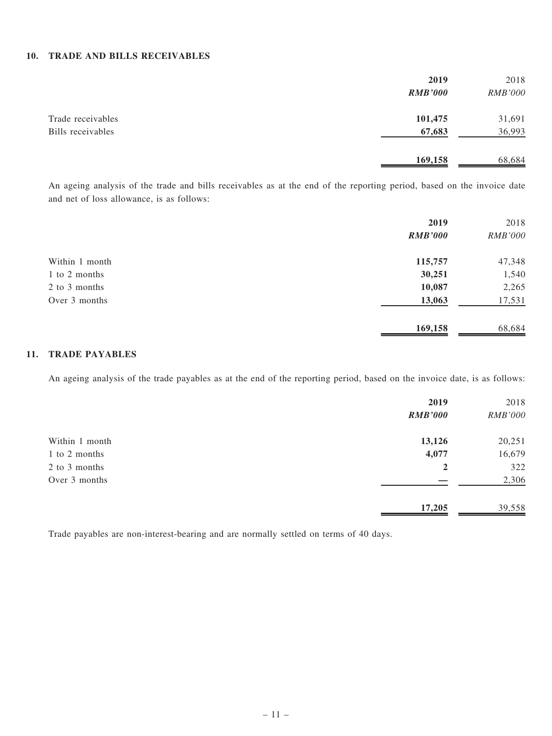#### 10. TRADE AND BILLS RECEIVABLES

|                   | 2019           | 2018           |
|-------------------|----------------|----------------|
|                   | <b>RMB'000</b> | <b>RMB'000</b> |
| Trade receivables | 101,475        | 31,691         |
| Bills receivables | 67,683         | 36,993         |
|                   | 169,158        | 68,684         |

An ageing analysis of the trade and bills receivables as at the end of the reporting period, based on the invoice date and net of loss allowance, is as follows:

|                | 2019           | 2018           |
|----------------|----------------|----------------|
|                | <b>RMB'000</b> | <b>RMB'000</b> |
| Within 1 month | 115,757        | 47,348         |
| 1 to 2 months  | 30,251         | 1,540          |
| 2 to 3 months  | 10,087         | 2,265          |
| Over 3 months  | 13,063         | 17,531         |
|                | 169,158        | 68,684         |

#### 11. TRADE PAYABLES

An ageing analysis of the trade payables as at the end of the reporting period, based on the invoice date, is as follows:

|                | 2019<br><b>RMB'000</b> | 2018<br><b>RMB'000</b> |
|----------------|------------------------|------------------------|
|                |                        |                        |
| Within 1 month | 13,126                 | 20,251                 |
| 1 to 2 months  | 4,077                  | 16,679                 |
| 2 to 3 months  | 2                      | 322                    |
| Over 3 months  |                        | 2,306                  |
|                | 17,205                 | 39,558                 |

Trade payables are non-interest-bearing and are normally settled on terms of 40 days.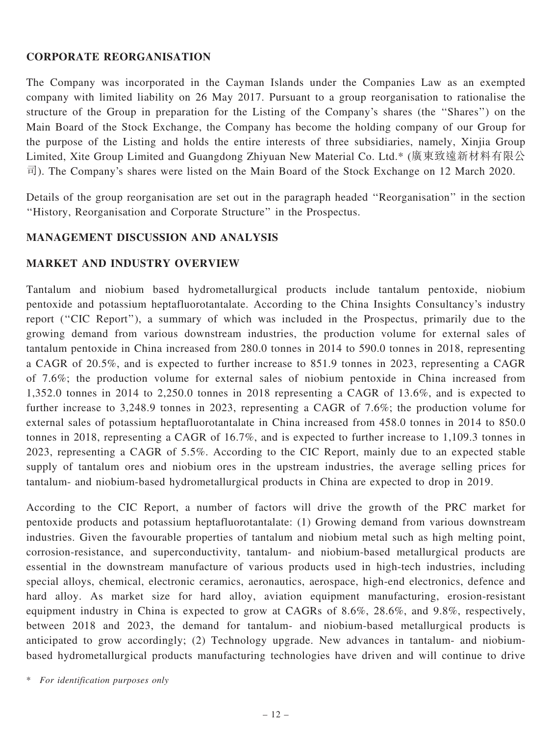# CORPORATE REORGANISATION

The Company was incorporated in the Cayman Islands under the Companies Law as an exempted company with limited liability on 26 May 2017. Pursuant to a group reorganisation to rationalise the structure of the Group in preparation for the Listing of the Company's shares (the ''Shares'') on the Main Board of the Stock Exchange, the Company has become the holding company of our Group for the purpose of the Listing and holds the entire interests of three subsidiaries, namely, Xinjia Group Limited, Xite Group Limited and Guangdong Zhiyuan New Material Co. Ltd.\* (廣東致遠新材料有限公 司). The Company's shares were listed on the Main Board of the Stock Exchange on 12 March 2020.

Details of the group reorganisation are set out in the paragraph headed ''Reorganisation'' in the section ''History, Reorganisation and Corporate Structure'' in the Prospectus.

# MANAGEMENT DISCUSSION AND ANALYSIS

### MARKET AND INDUSTRY OVERVIEW

Tantalum and niobium based hydrometallurgical products include tantalum pentoxide, niobium pentoxide and potassium heptafluorotantalate. According to the China Insights Consultancy's industry report (''CIC Report''), a summary of which was included in the Prospectus, primarily due to the growing demand from various downstream industries, the production volume for external sales of tantalum pentoxide in China increased from 280.0 tonnes in 2014 to 590.0 tonnes in 2018, representing a CAGR of 20.5%, and is expected to further increase to 851.9 tonnes in 2023, representing a CAGR of 7.6%; the production volume for external sales of niobium pentoxide in China increased from 1,352.0 tonnes in 2014 to 2,250.0 tonnes in 2018 representing a CAGR of 13.6%, and is expected to further increase to 3,248.9 tonnes in 2023, representing a CAGR of 7.6%; the production volume for external sales of potassium heptafluorotantalate in China increased from 458.0 tonnes in 2014 to 850.0 tonnes in 2018, representing a CAGR of 16.7%, and is expected to further increase to 1,109.3 tonnes in 2023, representing a CAGR of 5.5%. According to the CIC Report, mainly due to an expected stable supply of tantalum ores and niobium ores in the upstream industries, the average selling prices for tantalum- and niobium-based hydrometallurgical products in China are expected to drop in 2019.

According to the CIC Report, a number of factors will drive the growth of the PRC market for pentoxide products and potassium heptafluorotantalate: (1) Growing demand from various downstream industries. Given the favourable properties of tantalum and niobium metal such as high melting point, corrosion-resistance, and superconductivity, tantalum- and niobium-based metallurgical products are essential in the downstream manufacture of various products used in high-tech industries, including special alloys, chemical, electronic ceramics, aeronautics, aerospace, high-end electronics, defence and hard alloy. As market size for hard alloy, aviation equipment manufacturing, erosion-resistant equipment industry in China is expected to grow at CAGRs of 8.6%, 28.6%, and 9.8%, respectively, between 2018 and 2023, the demand for tantalum- and niobium-based metallurgical products is anticipated to grow accordingly; (2) Technology upgrade. New advances in tantalum- and niobiumbased hydrometallurgical products manufacturing technologies have driven and will continue to drive

<sup>\*</sup> For identification purposes only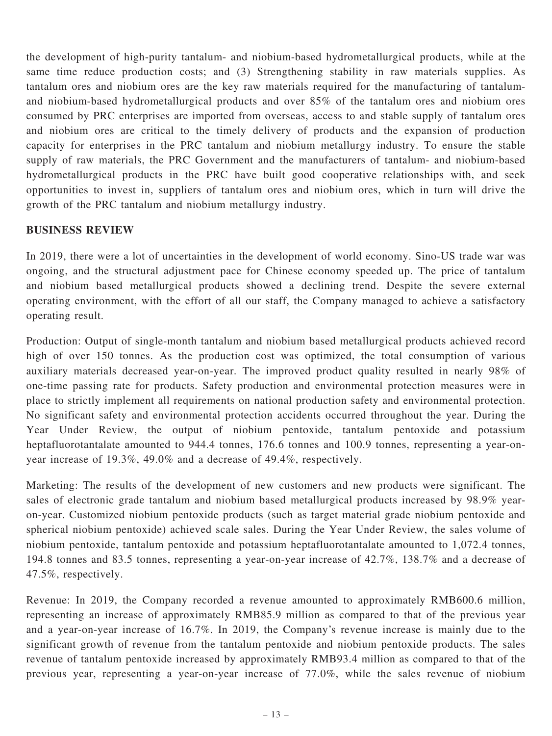the development of high-purity tantalum- and niobium-based hydrometallurgical products, while at the same time reduce production costs; and (3) Strengthening stability in raw materials supplies. As tantalum ores and niobium ores are the key raw materials required for the manufacturing of tantalumand niobium-based hydrometallurgical products and over 85% of the tantalum ores and niobium ores consumed by PRC enterprises are imported from overseas, access to and stable supply of tantalum ores and niobium ores are critical to the timely delivery of products and the expansion of production capacity for enterprises in the PRC tantalum and niobium metallurgy industry. To ensure the stable supply of raw materials, the PRC Government and the manufacturers of tantalum- and niobium-based hydrometallurgical products in the PRC have built good cooperative relationships with, and seek opportunities to invest in, suppliers of tantalum ores and niobium ores, which in turn will drive the growth of the PRC tantalum and niobium metallurgy industry.

# BUSINESS REVIEW

In 2019, there were a lot of uncertainties in the development of world economy. Sino-US trade war was ongoing, and the structural adjustment pace for Chinese economy speeded up. The price of tantalum and niobium based metallurgical products showed a declining trend. Despite the severe external operating environment, with the effort of all our staff, the Company managed to achieve a satisfactory operating result.

Production: Output of single-month tantalum and niobium based metallurgical products achieved record high of over 150 tonnes. As the production cost was optimized, the total consumption of various auxiliary materials decreased year-on-year. The improved product quality resulted in nearly 98% of one-time passing rate for products. Safety production and environmental protection measures were in place to strictly implement all requirements on national production safety and environmental protection. No significant safety and environmental protection accidents occurred throughout the year. During the Year Under Review, the output of niobium pentoxide, tantalum pentoxide and potassium heptafluorotantalate amounted to 944.4 tonnes, 176.6 tonnes and 100.9 tonnes, representing a year-onyear increase of 19.3%, 49.0% and a decrease of 49.4%, respectively.

Marketing: The results of the development of new customers and new products were significant. The sales of electronic grade tantalum and niobium based metallurgical products increased by 98.9% yearon-year. Customized niobium pentoxide products (such as target material grade niobium pentoxide and spherical niobium pentoxide) achieved scale sales. During the Year Under Review, the sales volume of niobium pentoxide, tantalum pentoxide and potassium heptafluorotantalate amounted to 1,072.4 tonnes, 194.8 tonnes and 83.5 tonnes, representing a year-on-year increase of 42.7%, 138.7% and a decrease of 47.5%, respectively.

Revenue: In 2019, the Company recorded a revenue amounted to approximately RMB600.6 million, representing an increase of approximately RMB85.9 million as compared to that of the previous year and a year-on-year increase of 16.7%. In 2019, the Company's revenue increase is mainly due to the significant growth of revenue from the tantalum pentoxide and niobium pentoxide products. The sales revenue of tantalum pentoxide increased by approximately RMB93.4 million as compared to that of the previous year, representing a year-on-year increase of 77.0%, while the sales revenue of niobium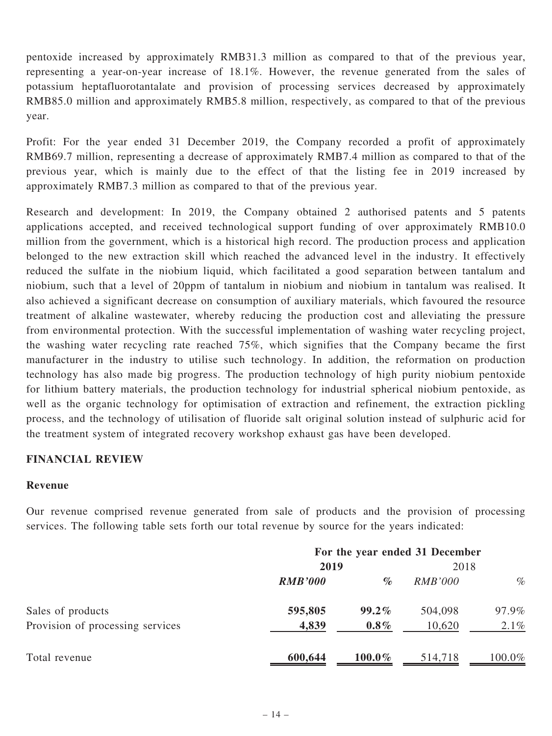pentoxide increased by approximately RMB31.3 million as compared to that of the previous year, representing a year-on-year increase of 18.1%. However, the revenue generated from the sales of potassium heptafluorotantalate and provision of processing services decreased by approximately RMB85.0 million and approximately RMB5.8 million, respectively, as compared to that of the previous year.

Profit: For the year ended 31 December 2019, the Company recorded a profit of approximately RMB69.7 million, representing a decrease of approximately RMB7.4 million as compared to that of the previous year, which is mainly due to the effect of that the listing fee in 2019 increased by approximately RMB7.3 million as compared to that of the previous year.

Research and development: In 2019, the Company obtained 2 authorised patents and 5 patents applications accepted, and received technological support funding of over approximately RMB10.0 million from the government, which is a historical high record. The production process and application belonged to the new extraction skill which reached the advanced level in the industry. It effectively reduced the sulfate in the niobium liquid, which facilitated a good separation between tantalum and niobium, such that a level of 20ppm of tantalum in niobium and niobium in tantalum was realised. It also achieved a significant decrease on consumption of auxiliary materials, which favoured the resource treatment of alkaline wastewater, whereby reducing the production cost and alleviating the pressure from environmental protection. With the successful implementation of washing water recycling project, the washing water recycling rate reached 75%, which signifies that the Company became the first manufacturer in the industry to utilise such technology. In addition, the reformation on production technology has also made big progress. The production technology of high purity niobium pentoxide for lithium battery materials, the production technology for industrial spherical niobium pentoxide, as well as the organic technology for optimisation of extraction and refinement, the extraction pickling process, and the technology of utilisation of fluoride salt original solution instead of sulphuric acid for the treatment system of integrated recovery workshop exhaust gas have been developed.

### FINANCIAL REVIEW

#### Revenue

Our revenue comprised revenue generated from sale of products and the provision of processing services. The following table sets forth our total revenue by source for the years indicated:

|                                  | For the year ended 31 December |           |                |         |
|----------------------------------|--------------------------------|-----------|----------------|---------|
|                                  | 2019                           |           | 2018           |         |
|                                  | <b>RMB'000</b>                 | $\%$      | <i>RMB'000</i> | $\%$    |
| Sales of products                | 595,805                        | $99.2\%$  | 504,098        | 97.9%   |
| Provision of processing services | 4,839                          | $0.8\%$   | 10,620         | $2.1\%$ |
| Total revenue                    | 600,644                        | $100.0\%$ | 514,718        | 100.0%  |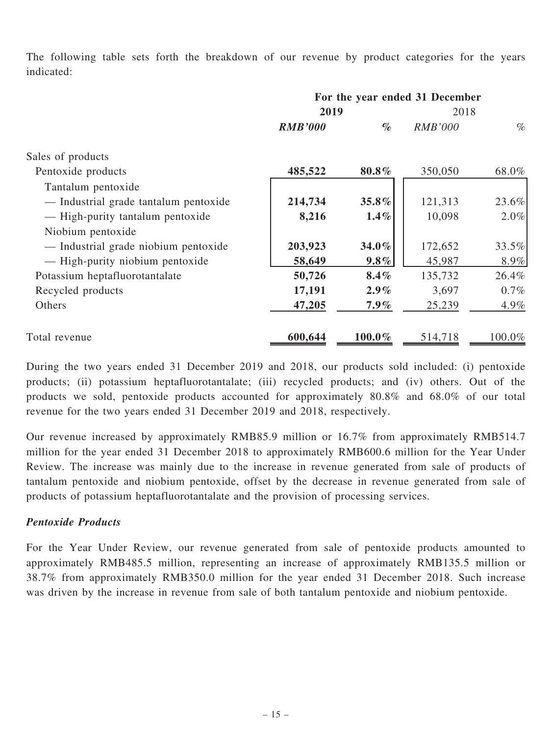The following table sets forth the breakdown of our revenue by product categories for the years indicated:

|                                       | For the year ended 31 December |           |                |          |
|---------------------------------------|--------------------------------|-----------|----------------|----------|
|                                       | 2019                           |           | 2018           |          |
|                                       | <b>RMB'000</b>                 | $\%$      | <b>RMB'000</b> | $\%$     |
| Sales of products                     |                                |           |                |          |
| Pentoxide products                    | 485,522                        | 80.8%     | 350,050        | 68.0%    |
| Tantalum pentoxide                    |                                |           |                |          |
| - Industrial grade tantalum pentoxide | 214,734                        | 35.8%     | 121,313        | $23.6\%$ |
| — High-purity tantalum pentoxide      | 8,216                          | $1.4\%$   | 10,098         | $2.0\%$  |
| Niobium pentoxide                     |                                |           |                |          |
| — Industrial grade niobium pentoxide  | 203,923                        | 34.0%     | 172,652        | 33.5%    |
| — High-purity niobium pentoxide       | 58,649                         | $9.8\%$   | 45,987         | $8.9\%$  |
| Potassium heptafluorotantalate        | 50,726                         | 8.4%      | 135,732        | 26.4%    |
| Recycled products                     | 17,191                         | $2.9\%$   | 3,697          | $0.7\%$  |
| Others                                | 47,205                         | $7.9\%$   | 25,239         | $4.9\%$  |
| Total revenue                         | 600,644                        | $100.0\%$ | 514,718        | 100.0%   |

During the two years ended 31 December 2019 and 2018, our products sold included: (i) pentoxide products; (ii) potassium heptafluorotantalate; (iii) recycled products; and (iv) others. Out of the products we sold, pentoxide products accounted for approximately 80.8% and 68.0% of our total revenue for the two years ended 31 December 2019 and 2018, respectively.

Our revenue increased by approximately RMB85.9 million or 16.7% from approximately RMB514.7 million for the year ended 31 December 2018 to approximately RMB600.6 million for the Year Under Review. The increase was mainly due to the increase in revenue generated from sale of products of tantalum pentoxide and niobium pentoxide, offset by the decrease in revenue generated from sale of products of potassium heptafluorotantalate and the provision of processing services.

# Pentoxide Products

For the Year Under Review, our revenue generated from sale of pentoxide products amounted to approximately RMB485.5 million, representing an increase of approximately RMB135.5 million or 38.7% from approximately RMB350.0 million for the year ended 31 December 2018. Such increase was driven by the increase in revenue from sale of both tantalum pentoxide and niobium pentoxide.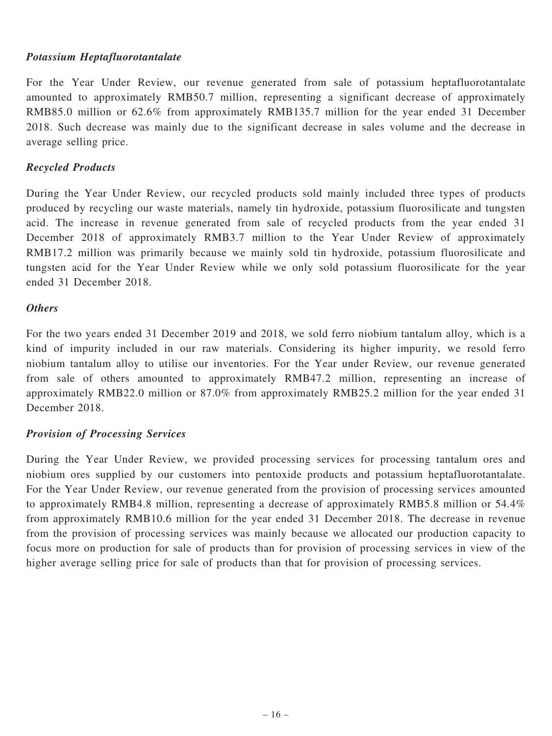# Potassium Heptafluorotantalate

For the Year Under Review, our revenue generated from sale of potassium heptafluorotantalate amounted to approximately RMB50.7 million, representing a significant decrease of approximately RMB85.0 million or 62.6% from approximately RMB135.7 million for the year ended 31 December 2018. Such decrease was mainly due to the significant decrease in sales volume and the decrease in average selling price.

# Recycled Products

During the Year Under Review, our recycled products sold mainly included three types of products produced by recycling our waste materials, namely tin hydroxide, potassium fluorosilicate and tungsten acid. The increase in revenue generated from sale of recycled products from the year ended 31 December 2018 of approximately RMB3.7 million to the Year Under Review of approximately RMB17.2 million was primarily because we mainly sold tin hydroxide, potassium fluorosilicate and tungsten acid for the Year Under Review while we only sold potassium fluorosilicate for the year ended 31 December 2018.

### **Others**

For the two years ended 31 December 2019 and 2018, we sold ferro niobium tantalum alloy, which is a kind of impurity included in our raw materials. Considering its higher impurity, we resold ferro niobium tantalum alloy to utilise our inventories. For the Year under Review, our revenue generated from sale of others amounted to approximately RMB47.2 million, representing an increase of approximately RMB22.0 million or 87.0% from approximately RMB25.2 million for the year ended 31 December 2018.

# Provision of Processing Services

During the Year Under Review, we provided processing services for processing tantalum ores and niobium ores supplied by our customers into pentoxide products and potassium heptafluorotantalate. For the Year Under Review, our revenue generated from the provision of processing services amounted to approximately RMB4.8 million, representing a decrease of approximately RMB5.8 million or 54.4% from approximately RMB10.6 million for the year ended 31 December 2018. The decrease in revenue from the provision of processing services was mainly because we allocated our production capacity to focus more on production for sale of products than for provision of processing services in view of the higher average selling price for sale of products than that for provision of processing services.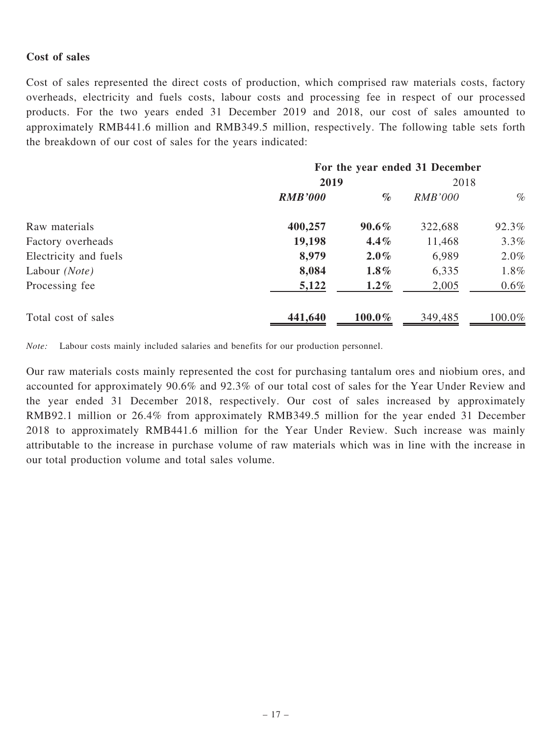### Cost of sales

Cost of sales represented the direct costs of production, which comprised raw materials costs, factory overheads, electricity and fuels costs, labour costs and processing fee in respect of our processed products. For the two years ended 31 December 2019 and 2018, our cost of sales amounted to approximately RMB441.6 million and RMB349.5 million, respectively. The following table sets forth the breakdown of our cost of sales for the years indicated:

|                        | For the year ended 31 December |           |                |         |
|------------------------|--------------------------------|-----------|----------------|---------|
|                        | 2019                           |           | 2018           |         |
|                        | <b>RMB'000</b>                 | $\%$      | <i>RMB'000</i> | $\%$    |
| Raw materials          | 400,257                        | $90.6\%$  | 322,688        | 92.3%   |
| Factory overheads      | 19,198                         | $4.4\%$   | 11,468         | 3.3%    |
| Electricity and fuels  | 8,979                          | $2.0\%$   | 6,989          | 2.0%    |
| Labour ( <i>Note</i> ) | 8,084                          | $1.8\%$   | 6,335          | 1.8%    |
| Processing fee         | 5,122                          | $1.2\%$   | 2,005          | $0.6\%$ |
| Total cost of sales    | 441,640                        | $100.0\%$ | 349,485        | 100.0%  |

Note: Labour costs mainly included salaries and benefits for our production personnel.

Our raw materials costs mainly represented the cost for purchasing tantalum ores and niobium ores, and accounted for approximately 90.6% and 92.3% of our total cost of sales for the Year Under Review and the year ended 31 December 2018, respectively. Our cost of sales increased by approximately RMB92.1 million or 26.4% from approximately RMB349.5 million for the year ended 31 December 2018 to approximately RMB441.6 million for the Year Under Review. Such increase was mainly attributable to the increase in purchase volume of raw materials which was in line with the increase in our total production volume and total sales volume.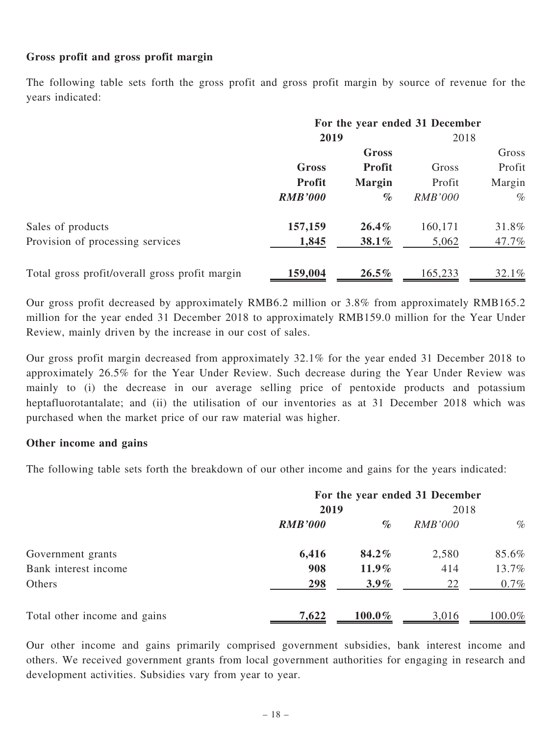# Gross profit and gross profit margin

The following table sets forth the gross profit and gross profit margin by source of revenue for the years indicated:

|                                                | For the year ended 31 December |               |                |        |  |
|------------------------------------------------|--------------------------------|---------------|----------------|--------|--|
|                                                | 2019                           |               |                | 2018   |  |
|                                                | Gross                          |               |                | Gross  |  |
|                                                | <b>Gross</b>                   | <b>Profit</b> | Gross          | Profit |  |
|                                                | <b>Profit</b>                  | <b>Margin</b> | Profit         | Margin |  |
|                                                | <b>RMB'000</b>                 | $\%$          | <b>RMB'000</b> | $\%$   |  |
| Sales of products                              | 157,159                        | $26.4\%$      | 160,171        | 31.8%  |  |
| Provision of processing services               | 1,845                          | 38.1%         | 5,062          | 47.7%  |  |
| Total gross profit/overall gross profit margin | 159,004                        | $26.5\%$      | 165,233        | 32.1%  |  |

Our gross profit decreased by approximately RMB6.2 million or 3.8% from approximately RMB165.2 million for the year ended 31 December 2018 to approximately RMB159.0 million for the Year Under Review, mainly driven by the increase in our cost of sales.

Our gross profit margin decreased from approximately 32.1% for the year ended 31 December 2018 to approximately 26.5% for the Year Under Review. Such decrease during the Year Under Review was mainly to (i) the decrease in our average selling price of pentoxide products and potassium heptafluorotantalate; and (ii) the utilisation of our inventories as at 31 December 2018 which was purchased when the market price of our raw material was higher.

### Other income and gains

The following table sets forth the breakdown of our other income and gains for the years indicated:

|                              | For the year ended 31 December |           |                |        |
|------------------------------|--------------------------------|-----------|----------------|--------|
|                              | 2019                           |           | 2018           |        |
|                              | <b>RMB'000</b>                 | $\%$      | <i>RMB'000</i> | $\%$   |
| Government grants            | 6,416                          | 84.2%     | 2,580          | 85.6%  |
| Bank interest income         | 908                            | $11.9\%$  | 414            | 13.7%  |
| Others                       | 298                            | $3.9\%$   | 22             | 0.7%   |
| Total other income and gains | 7,622                          | $100.0\%$ | 3,016          | 100.0% |

Our other income and gains primarily comprised government subsidies, bank interest income and others. We received government grants from local government authorities for engaging in research and development activities. Subsidies vary from year to year.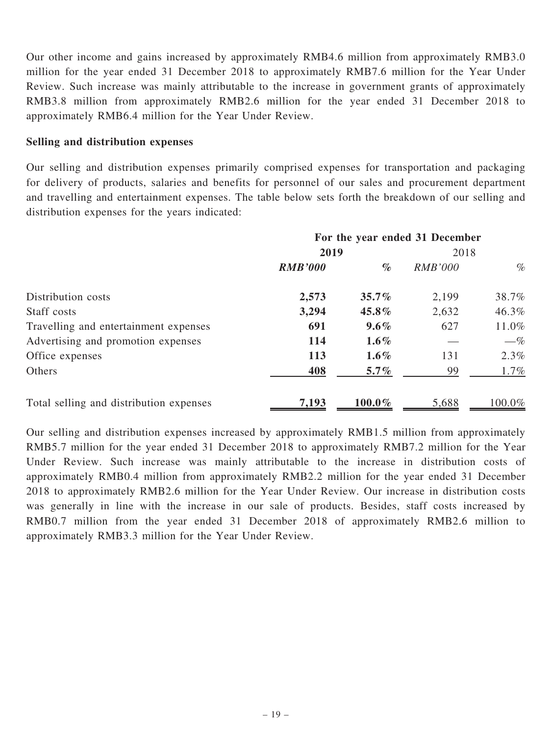Our other income and gains increased by approximately RMB4.6 million from approximately RMB3.0 million for the year ended 31 December 2018 to approximately RMB7.6 million for the Year Under Review. Such increase was mainly attributable to the increase in government grants of approximately RMB3.8 million from approximately RMB2.6 million for the year ended 31 December 2018 to approximately RMB6.4 million for the Year Under Review.

### Selling and distribution expenses

Our selling and distribution expenses primarily comprised expenses for transportation and packaging for delivery of products, salaries and benefits for personnel of our sales and procurement department and travelling and entertainment expenses. The table below sets forth the breakdown of our selling and distribution expenses for the years indicated:

|                                         | For the year ended 31 December |           |                |         |
|-----------------------------------------|--------------------------------|-----------|----------------|---------|
|                                         | 2019                           |           | 2018           |         |
|                                         | <b>RMB'000</b>                 | $\%$      | <b>RMB'000</b> | $\%$    |
| Distribution costs                      | 2,573                          | 35.7%     | 2,199          | 38.7%   |
| Staff costs                             | 3,294                          | 45.8%     | 2,632          | 46.3%   |
| Travelling and entertainment expenses   | 691                            | $9.6\%$   | 627            | 11.0%   |
| Advertising and promotion expenses      | 114                            | $1.6\%$   |                | $-\%$   |
| Office expenses                         | 113                            | $1.6\%$   | 131            | 2.3%    |
| Others                                  | 408                            | $5.7\%$   | 99             | $1.7\%$ |
| Total selling and distribution expenses | 7,193                          | $100.0\%$ | 5,688          | 100.0%  |

Our selling and distribution expenses increased by approximately RMB1.5 million from approximately RMB5.7 million for the year ended 31 December 2018 to approximately RMB7.2 million for the Year Under Review. Such increase was mainly attributable to the increase in distribution costs of approximately RMB0.4 million from approximately RMB2.2 million for the year ended 31 December 2018 to approximately RMB2.6 million for the Year Under Review. Our increase in distribution costs was generally in line with the increase in our sale of products. Besides, staff costs increased by RMB0.7 million from the year ended 31 December 2018 of approximately RMB2.6 million to approximately RMB3.3 million for the Year Under Review.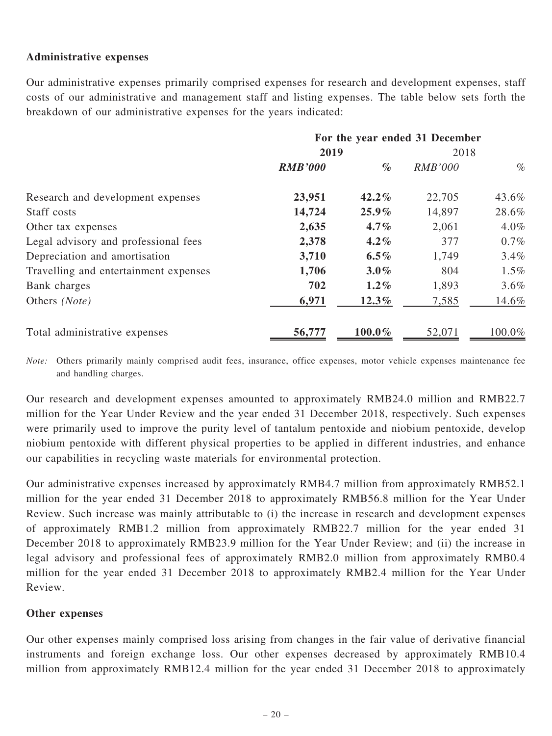# Administrative expenses

Our administrative expenses primarily comprised expenses for research and development expenses, staff costs of our administrative and management staff and listing expenses. The table below sets forth the breakdown of our administrative expenses for the years indicated:

|                                       | For the year ended 31 December |          |                |         |
|---------------------------------------|--------------------------------|----------|----------------|---------|
|                                       | 2019                           |          | 2018           |         |
|                                       | <b>RMB'000</b>                 | $\%$     | <b>RMB'000</b> | $\%$    |
| Research and development expenses     | 23,951                         | $42.2\%$ | 22,705         | 43.6%   |
| Staff costs                           | 14,724                         | $25.9\%$ | 14,897         | 28.6%   |
| Other tax expenses                    | 2,635                          | $4.7\%$  | 2,061          | 4.0%    |
| Legal advisory and professional fees  | 2,378                          | $4.2\%$  | 377            | $0.7\%$ |
| Depreciation and amortisation         | 3,710                          | $6.5\%$  | 1,749          | 3.4%    |
| Travelling and entertainment expenses | 1,706                          | $3.0\%$  | 804            | $1.5\%$ |
| Bank charges                          | 702                            | $1.2\%$  | 1,893          | 3.6%    |
| Others (Note)                         | 6,971                          | $12.3\%$ | 7,585          | 14.6%   |
| Total administrative expenses         | 56,777                         | 100.0%   | 52,071         | 100.0%  |

Note: Others primarily mainly comprised audit fees, insurance, office expenses, motor vehicle expenses maintenance fee and handling charges.

Our research and development expenses amounted to approximately RMB24.0 million and RMB22.7 million for the Year Under Review and the year ended 31 December 2018, respectively. Such expenses were primarily used to improve the purity level of tantalum pentoxide and niobium pentoxide, develop niobium pentoxide with different physical properties to be applied in different industries, and enhance our capabilities in recycling waste materials for environmental protection.

Our administrative expenses increased by approximately RMB4.7 million from approximately RMB52.1 million for the year ended 31 December 2018 to approximately RMB56.8 million for the Year Under Review. Such increase was mainly attributable to (i) the increase in research and development expenses of approximately RMB1.2 million from approximately RMB22.7 million for the year ended 31 December 2018 to approximately RMB23.9 million for the Year Under Review; and (ii) the increase in legal advisory and professional fees of approximately RMB2.0 million from approximately RMB0.4 million for the year ended 31 December 2018 to approximately RMB2.4 million for the Year Under Review.

### Other expenses

Our other expenses mainly comprised loss arising from changes in the fair value of derivative financial instruments and foreign exchange loss. Our other expenses decreased by approximately RMB10.4 million from approximately RMB12.4 million for the year ended 31 December 2018 to approximately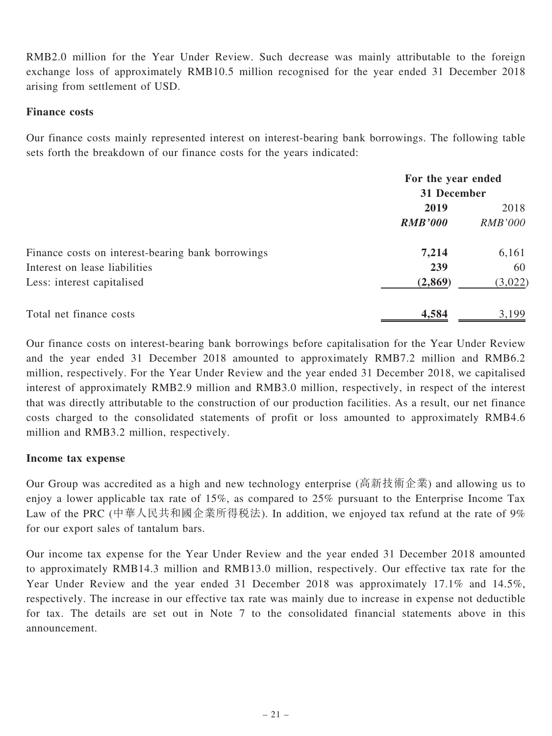RMB2.0 million for the Year Under Review. Such decrease was mainly attributable to the foreign exchange loss of approximately RMB10.5 million recognised for the year ended 31 December 2018 arising from settlement of USD.

### Finance costs

Our finance costs mainly represented interest on interest-bearing bank borrowings. The following table sets forth the breakdown of our finance costs for the years indicated:

|                                                   | For the year ended<br>31 December |                |
|---------------------------------------------------|-----------------------------------|----------------|
|                                                   |                                   |                |
|                                                   | 2019                              | 2018           |
|                                                   | <b>RMB'000</b>                    | <i>RMB'000</i> |
| Finance costs on interest-bearing bank borrowings | 7,214                             | 6,161          |
| Interest on lease liabilities                     | 239                               | 60             |
| Less: interest capitalised                        | (2, 869)                          | (3,022)        |
| Total net finance costs                           | 4,584                             | 3,199          |

Our finance costs on interest-bearing bank borrowings before capitalisation for the Year Under Review and the year ended 31 December 2018 amounted to approximately RMB7.2 million and RMB6.2 million, respectively. For the Year Under Review and the year ended 31 December 2018, we capitalised interest of approximately RMB2.9 million and RMB3.0 million, respectively, in respect of the interest that was directly attributable to the construction of our production facilities. As a result, our net finance costs charged to the consolidated statements of profit or loss amounted to approximately RMB4.6 million and RMB3.2 million, respectively.

### Income tax expense

Our Group was accredited as a high and new technology enterprise (高新技術企業) and allowing us to enjoy a lower applicable tax rate of 15%, as compared to 25% pursuant to the Enterprise Income Tax Law of the PRC (中華人民共和國企業所得稅法). In addition, we enjoyed tax refund at the rate of 9% for our export sales of tantalum bars.

Our income tax expense for the Year Under Review and the year ended 31 December 2018 amounted to approximately RMB14.3 million and RMB13.0 million, respectively. Our effective tax rate for the Year Under Review and the year ended 31 December 2018 was approximately 17.1% and 14.5%, respectively. The increase in our effective tax rate was mainly due to increase in expense not deductible for tax. The details are set out in Note 7 to the consolidated financial statements above in this announcement.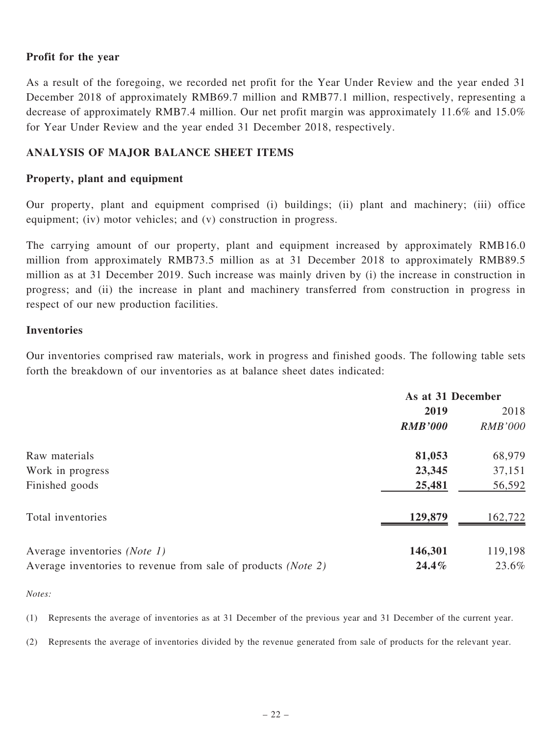### Profit for the year

As a result of the foregoing, we recorded net profit for the Year Under Review and the year ended 31 December 2018 of approximately RMB69.7 million and RMB77.1 million, respectively, representing a decrease of approximately RMB7.4 million. Our net profit margin was approximately 11.6% and 15.0% for Year Under Review and the year ended 31 December 2018, respectively.

# ANALYSIS OF MAJOR BALANCE SHEET ITEMS

### Property, plant and equipment

Our property, plant and equipment comprised (i) buildings; (ii) plant and machinery; (iii) office equipment; (iv) motor vehicles; and (v) construction in progress.

The carrying amount of our property, plant and equipment increased by approximately RMB16.0 million from approximately RMB73.5 million as at 31 December 2018 to approximately RMB89.5 million as at 31 December 2019. Such increase was mainly driven by (i) the increase in construction in progress; and (ii) the increase in plant and machinery transferred from construction in progress in respect of our new production facilities.

#### Inventories

Our inventories comprised raw materials, work in progress and finished goods. The following table sets forth the breakdown of our inventories as at balance sheet dates indicated:

|                                                               | As at 31 December |                |
|---------------------------------------------------------------|-------------------|----------------|
|                                                               | 2019              | 2018           |
|                                                               | <b>RMB'000</b>    | <b>RMB'000</b> |
| Raw materials                                                 | 81,053            | 68,979         |
| Work in progress                                              | 23,345            | 37,151         |
| Finished goods                                                | 25,481            | 56,592         |
| Total inventories                                             | 129,879           | 162,722        |
| Average inventories (Note 1)                                  | 146,301           | 119,198        |
| Average inventories to revenue from sale of products (Note 2) | $24.4\%$          | 23.6%          |

#### Notes:

(1) Represents the average of inventories as at 31 December of the previous year and 31 December of the current year.

(2) Represents the average of inventories divided by the revenue generated from sale of products for the relevant year.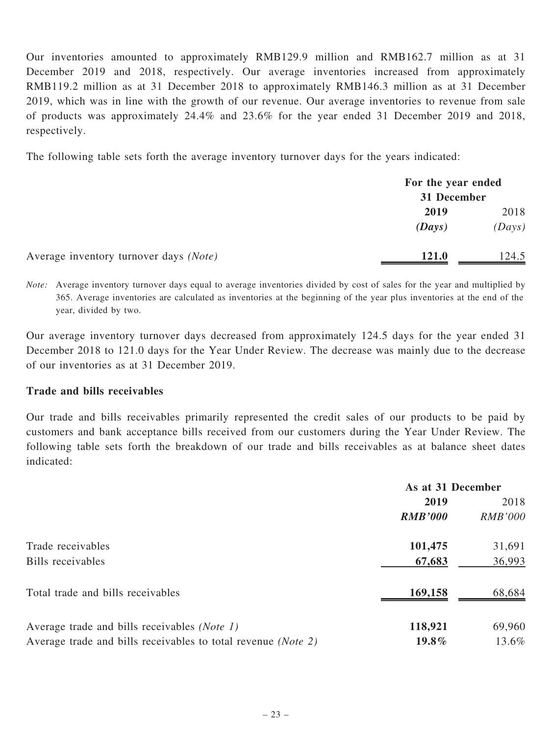Our inventories amounted to approximately RMB129.9 million and RMB162.7 million as at 31 December 2019 and 2018, respectively. Our average inventories increased from approximately RMB119.2 million as at 31 December 2018 to approximately RMB146.3 million as at 31 December 2019, which was in line with the growth of our revenue. Our average inventories to revenue from sale of products was approximately 24.4% and 23.6% for the year ended 31 December 2019 and 2018, respectively.

The following table sets forth the average inventory turnover days for the years indicated:

| For the year ended<br>31 December |        |
|-----------------------------------|--------|
|                                   |        |
| (Days)                            | (Days) |
| <b>121.0</b>                      | 124.5  |
|                                   |        |

Note: Average inventory turnover days equal to average inventories divided by cost of sales for the year and multiplied by 365. Average inventories are calculated as inventories at the beginning of the year plus inventories at the end of the year, divided by two.

Our average inventory turnover days decreased from approximately 124.5 days for the year ended 31 December 2018 to 121.0 days for the Year Under Review. The decrease was mainly due to the decrease of our inventories as at 31 December 2019.

### Trade and bills receivables

Our trade and bills receivables primarily represented the credit sales of our products to be paid by customers and bank acceptance bills received from our customers during the Year Under Review. The following table sets forth the breakdown of our trade and bills receivables as at balance sheet dates indicated:

|                                                                        | As at 31 December |                |
|------------------------------------------------------------------------|-------------------|----------------|
|                                                                        | 2019              | 2018           |
|                                                                        | <b>RMB'000</b>    | <b>RMB'000</b> |
| Trade receivables                                                      | 101,475           | 31,691         |
| Bills receivables                                                      | 67,683            | 36,993         |
| Total trade and bills receivables                                      | 169,158           | 68,684         |
| Average trade and bills receivables (Note 1)                           | 118,921           | 69,960         |
| Average trade and bills receivables to total revenue ( <i>Note 2</i> ) | $19.8\%$          | 13.6%          |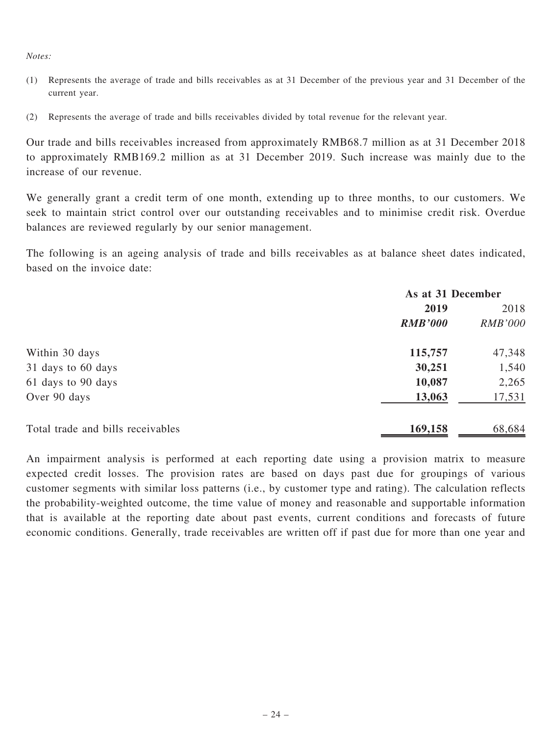#### Notes:

- (1) Represents the average of trade and bills receivables as at 31 December of the previous year and 31 December of the current year.
- (2) Represents the average of trade and bills receivables divided by total revenue for the relevant year.

Our trade and bills receivables increased from approximately RMB68.7 million as at 31 December 2018 to approximately RMB169.2 million as at 31 December 2019. Such increase was mainly due to the increase of our revenue.

We generally grant a credit term of one month, extending up to three months, to our customers. We seek to maintain strict control over our outstanding receivables and to minimise credit risk. Overdue balances are reviewed regularly by our senior management.

The following is an ageing analysis of trade and bills receivables as at balance sheet dates indicated, based on the invoice date:

|                                   | As at 31 December |                |
|-----------------------------------|-------------------|----------------|
|                                   | 2019              |                |
|                                   | <b>RMB'000</b>    | <b>RMB'000</b> |
| Within 30 days                    | 115,757           | 47,348         |
| 31 days to 60 days                | 30,251            | 1,540          |
| 61 days to 90 days                | 10,087            | 2,265          |
| Over 90 days                      | 13,063            | 17,531         |
| Total trade and bills receivables | 169,158           | 68,684         |

An impairment analysis is performed at each reporting date using a provision matrix to measure expected credit losses. The provision rates are based on days past due for groupings of various customer segments with similar loss patterns (i.e., by customer type and rating). The calculation reflects the probability-weighted outcome, the time value of money and reasonable and supportable information that is available at the reporting date about past events, current conditions and forecasts of future economic conditions. Generally, trade receivables are written off if past due for more than one year and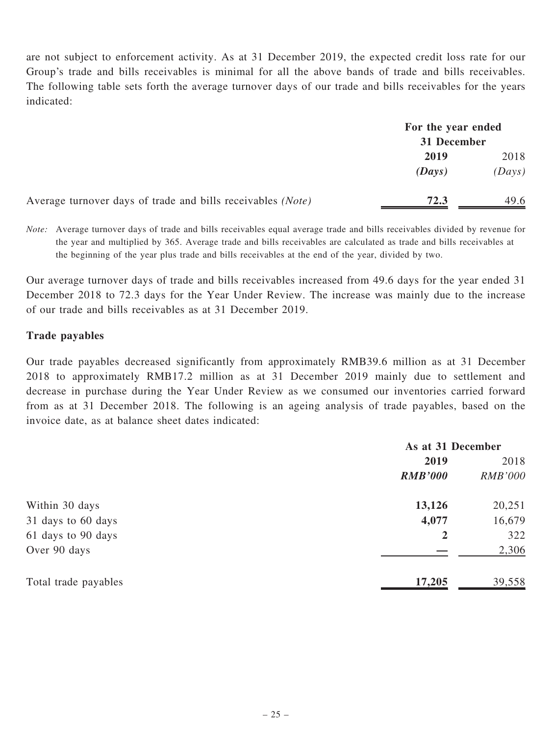are not subject to enforcement activity. As at 31 December 2019, the expected credit loss rate for our Group's trade and bills receivables is minimal for all the above bands of trade and bills receivables. The following table sets forth the average turnover days of our trade and bills receivables for the years indicated:

|                                                             | For the year ended<br>31 December |        |
|-------------------------------------------------------------|-----------------------------------|--------|
|                                                             |                                   |        |
|                                                             | 2019                              | 2018   |
|                                                             | (Days)                            | (Days) |
| Average turnover days of trade and bills receivables (Note) | 72.3                              | 49.6   |

Note: Average turnover days of trade and bills receivables equal average trade and bills receivables divided by revenue for the year and multiplied by 365. Average trade and bills receivables are calculated as trade and bills receivables at the beginning of the year plus trade and bills receivables at the end of the year, divided by two.

Our average turnover days of trade and bills receivables increased from 49.6 days for the year ended 31 December 2018 to 72.3 days for the Year Under Review. The increase was mainly due to the increase of our trade and bills receivables as at 31 December 2019.

# Trade payables

Our trade payables decreased significantly from approximately RMB39.6 million as at 31 December 2018 to approximately RMB17.2 million as at 31 December 2019 mainly due to settlement and decrease in purchase during the Year Under Review as we consumed our inventories carried forward from as at 31 December 2018. The following is an ageing analysis of trade payables, based on the invoice date, as at balance sheet dates indicated:

|                      | As at 31 December |                |
|----------------------|-------------------|----------------|
|                      | 2019              | 2018           |
|                      | <b>RMB'000</b>    | <b>RMB'000</b> |
| Within 30 days       | 13,126            | 20,251         |
| 31 days to 60 days   | 4,077             | 16,679         |
| 61 days to 90 days   | $\overline{2}$    | 322            |
| Over 90 days         |                   | 2,306          |
| Total trade payables | 17,205            | 39,558         |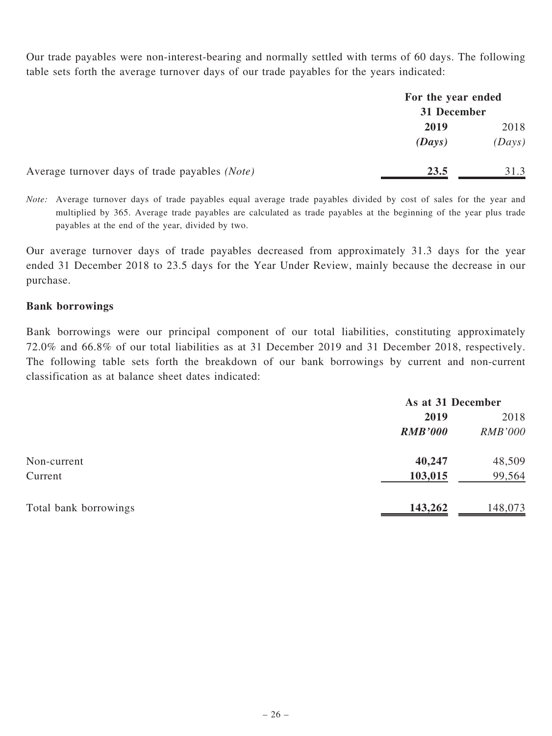Our trade payables were non-interest-bearing and normally settled with terms of 60 days. The following table sets forth the average turnover days of our trade payables for the years indicated:

|                                                | For the year ended<br>31 December |        |
|------------------------------------------------|-----------------------------------|--------|
|                                                |                                   |        |
|                                                | 2019                              | 2018   |
|                                                | (Days)                            | (Days) |
| Average turnover days of trade payables (Note) | 23.5                              | 31.3   |

Note: Average turnover days of trade payables equal average trade payables divided by cost of sales for the year and multiplied by 365. Average trade payables are calculated as trade payables at the beginning of the year plus trade payables at the end of the year, divided by two.

Our average turnover days of trade payables decreased from approximately 31.3 days for the year ended 31 December 2018 to 23.5 days for the Year Under Review, mainly because the decrease in our purchase.

# Bank borrowings

Bank borrowings were our principal component of our total liabilities, constituting approximately 72.0% and 66.8% of our total liabilities as at 31 December 2019 and 31 December 2018, respectively. The following table sets forth the breakdown of our bank borrowings by current and non-current classification as at balance sheet dates indicated:

|                       |                | As at 31 December |  |
|-----------------------|----------------|-------------------|--|
|                       | 2019           | 2018              |  |
|                       | <b>RMB'000</b> | <b>RMB'000</b>    |  |
| Non-current           | 40,247         | 48,509            |  |
| Current               | 103,015        | 99,564            |  |
| Total bank borrowings | 143,262        | 148,073           |  |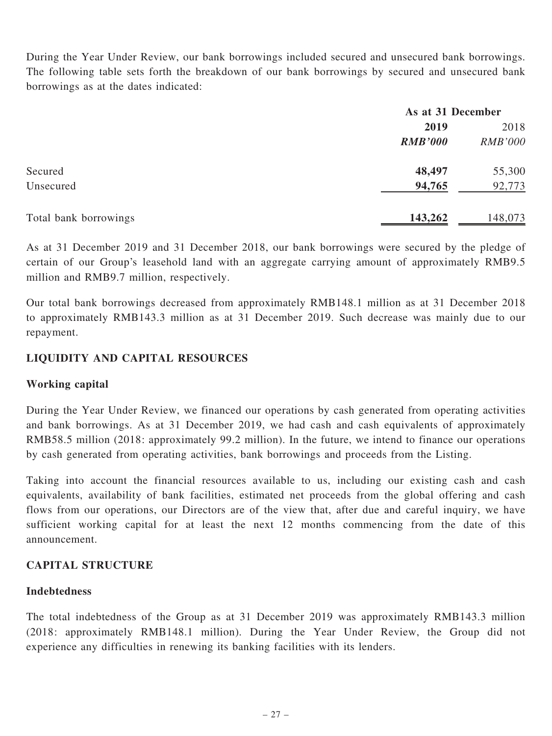During the Year Under Review, our bank borrowings included secured and unsecured bank borrowings. The following table sets forth the breakdown of our bank borrowings by secured and unsecured bank borrowings as at the dates indicated:

|                       |                | As at 31 December |  |
|-----------------------|----------------|-------------------|--|
|                       | 2019           | 2018              |  |
|                       | <b>RMB'000</b> | <b>RMB'000</b>    |  |
| Secured               | 48,497         | 55,300            |  |
| Unsecured             | 94,765         | 92,773            |  |
| Total bank borrowings | 143,262        | 148,073           |  |

As at 31 December 2019 and 31 December 2018, our bank borrowings were secured by the pledge of certain of our Group's leasehold land with an aggregate carrying amount of approximately RMB9.5 million and RMB9.7 million, respectively.

Our total bank borrowings decreased from approximately RMB148.1 million as at 31 December 2018 to approximately RMB143.3 million as at 31 December 2019. Such decrease was mainly due to our repayment.

# LIQUIDITY AND CAPITAL RESOURCES

### Working capital

During the Year Under Review, we financed our operations by cash generated from operating activities and bank borrowings. As at 31 December 2019, we had cash and cash equivalents of approximately RMB58.5 million (2018: approximately 99.2 million). In the future, we intend to finance our operations by cash generated from operating activities, bank borrowings and proceeds from the Listing.

Taking into account the financial resources available to us, including our existing cash and cash equivalents, availability of bank facilities, estimated net proceeds from the global offering and cash flows from our operations, our Directors are of the view that, after due and careful inquiry, we have sufficient working capital for at least the next 12 months commencing from the date of this announcement.

# CAPITAL STRUCTURE

# Indebtedness

The total indebtedness of the Group as at 31 December 2019 was approximately RMB143.3 million (2018: approximately RMB148.1 million). During the Year Under Review, the Group did not experience any difficulties in renewing its banking facilities with its lenders.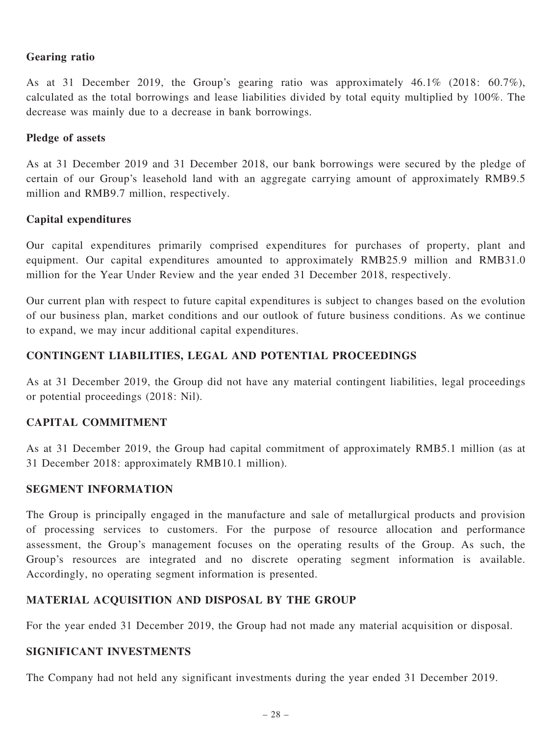# Gearing ratio

As at 31 December 2019, the Group's gearing ratio was approximately 46.1% (2018: 60.7%), calculated as the total borrowings and lease liabilities divided by total equity multiplied by 100%. The decrease was mainly due to a decrease in bank borrowings.

### Pledge of assets

As at 31 December 2019 and 31 December 2018, our bank borrowings were secured by the pledge of certain of our Group's leasehold land with an aggregate carrying amount of approximately RMB9.5 million and RMB9.7 million, respectively.

# Capital expenditures

Our capital expenditures primarily comprised expenditures for purchases of property, plant and equipment. Our capital expenditures amounted to approximately RMB25.9 million and RMB31.0 million for the Year Under Review and the year ended 31 December 2018, respectively.

Our current plan with respect to future capital expenditures is subject to changes based on the evolution of our business plan, market conditions and our outlook of future business conditions. As we continue to expand, we may incur additional capital expenditures.

# CONTINGENT LIABILITIES, LEGAL AND POTENTIAL PROCEEDINGS

As at 31 December 2019, the Group did not have any material contingent liabilities, legal proceedings or potential proceedings (2018: Nil).

# CAPITAL COMMITMENT

As at 31 December 2019, the Group had capital commitment of approximately RMB5.1 million (as at 31 December 2018: approximately RMB10.1 million).

### SEGMENT INFORMATION

The Group is principally engaged in the manufacture and sale of metallurgical products and provision of processing services to customers. For the purpose of resource allocation and performance assessment, the Group's management focuses on the operating results of the Group. As such, the Group's resources are integrated and no discrete operating segment information is available. Accordingly, no operating segment information is presented.

# MATERIAL ACQUISITION AND DISPOSAL BY THE GROUP

For the year ended 31 December 2019, the Group had not made any material acquisition or disposal.

# SIGNIFICANT INVESTMENTS

The Company had not held any significant investments during the year ended 31 December 2019.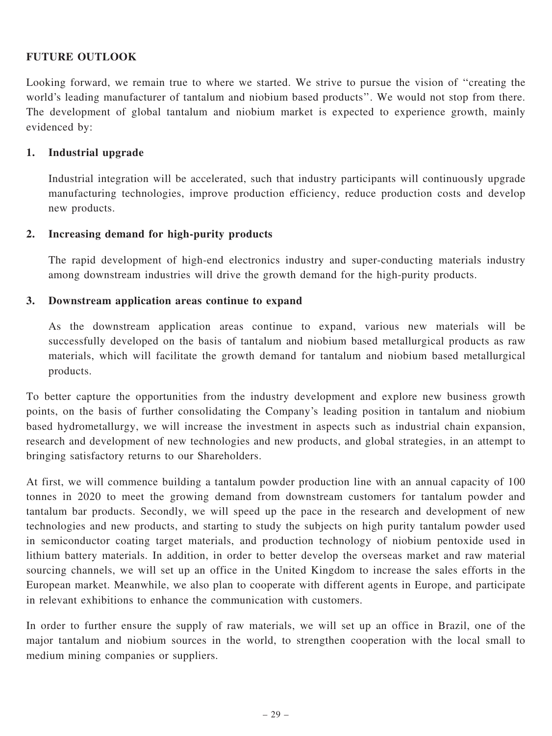# FUTURE OUTLOOK

Looking forward, we remain true to where we started. We strive to pursue the vision of ''creating the world's leading manufacturer of tantalum and niobium based products''. We would not stop from there. The development of global tantalum and niobium market is expected to experience growth, mainly evidenced by:

### 1. Industrial upgrade

Industrial integration will be accelerated, such that industry participants will continuously upgrade manufacturing technologies, improve production efficiency, reduce production costs and develop new products.

#### 2. Increasing demand for high-purity products

The rapid development of high-end electronics industry and super-conducting materials industry among downstream industries will drive the growth demand for the high-purity products.

#### 3. Downstream application areas continue to expand

As the downstream application areas continue to expand, various new materials will be successfully developed on the basis of tantalum and niobium based metallurgical products as raw materials, which will facilitate the growth demand for tantalum and niobium based metallurgical products.

To better capture the opportunities from the industry development and explore new business growth points, on the basis of further consolidating the Company's leading position in tantalum and niobium based hydrometallurgy, we will increase the investment in aspects such as industrial chain expansion, research and development of new technologies and new products, and global strategies, in an attempt to bringing satisfactory returns to our Shareholders.

At first, we will commence building a tantalum powder production line with an annual capacity of 100 tonnes in 2020 to meet the growing demand from downstream customers for tantalum powder and tantalum bar products. Secondly, we will speed up the pace in the research and development of new technologies and new products, and starting to study the subjects on high purity tantalum powder used in semiconductor coating target materials, and production technology of niobium pentoxide used in lithium battery materials. In addition, in order to better develop the overseas market and raw material sourcing channels, we will set up an office in the United Kingdom to increase the sales efforts in the European market. Meanwhile, we also plan to cooperate with different agents in Europe, and participate in relevant exhibitions to enhance the communication with customers.

In order to further ensure the supply of raw materials, we will set up an office in Brazil, one of the major tantalum and niobium sources in the world, to strengthen cooperation with the local small to medium mining companies or suppliers.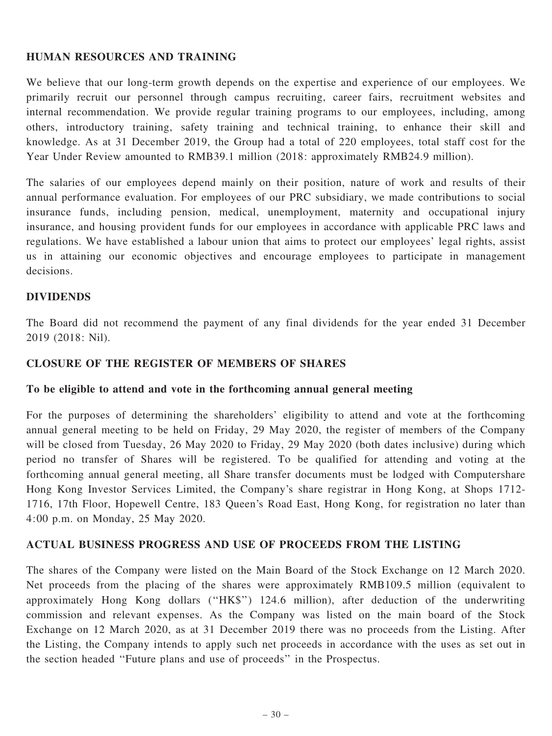# HUMAN RESOURCES AND TRAINING

We believe that our long-term growth depends on the expertise and experience of our employees. We primarily recruit our personnel through campus recruiting, career fairs, recruitment websites and internal recommendation. We provide regular training programs to our employees, including, among others, introductory training, safety training and technical training, to enhance their skill and knowledge. As at 31 December 2019, the Group had a total of 220 employees, total staff cost for the Year Under Review amounted to RMB39.1 million (2018: approximately RMB24.9 million).

The salaries of our employees depend mainly on their position, nature of work and results of their annual performance evaluation. For employees of our PRC subsidiary, we made contributions to social insurance funds, including pension, medical, unemployment, maternity and occupational injury insurance, and housing provident funds for our employees in accordance with applicable PRC laws and regulations. We have established a labour union that aims to protect our employees' legal rights, assist us in attaining our economic objectives and encourage employees to participate in management decisions.

#### DIVIDENDS

The Board did not recommend the payment of any final dividends for the year ended 31 December 2019 (2018: Nil).

#### CLOSURE OF THE REGISTER OF MEMBERS OF SHARES

#### To be eligible to attend and vote in the forthcoming annual general meeting

For the purposes of determining the shareholders' eligibility to attend and vote at the forthcoming annual general meeting to be held on Friday, 29 May 2020, the register of members of the Company will be closed from Tuesday, 26 May 2020 to Friday, 29 May 2020 (both dates inclusive) during which period no transfer of Shares will be registered. To be qualified for attending and voting at the forthcoming annual general meeting, all Share transfer documents must be lodged with Computershare Hong Kong Investor Services Limited, the Company's share registrar in Hong Kong, at Shops 1712- 1716, 17th Floor, Hopewell Centre, 183 Queen's Road East, Hong Kong, for registration no later than 4:00 p.m. on Monday, 25 May 2020.

### ACTUAL BUSINESS PROGRESS AND USE OF PROCEEDS FROM THE LISTING

The shares of the Company were listed on the Main Board of the Stock Exchange on 12 March 2020. Net proceeds from the placing of the shares were approximately RMB109.5 million (equivalent to approximately Hong Kong dollars (''HK\$'') 124.6 million), after deduction of the underwriting commission and relevant expenses. As the Company was listed on the main board of the Stock Exchange on 12 March 2020, as at 31 December 2019 there was no proceeds from the Listing. After the Listing, the Company intends to apply such net proceeds in accordance with the uses as set out in the section headed ''Future plans and use of proceeds'' in the Prospectus.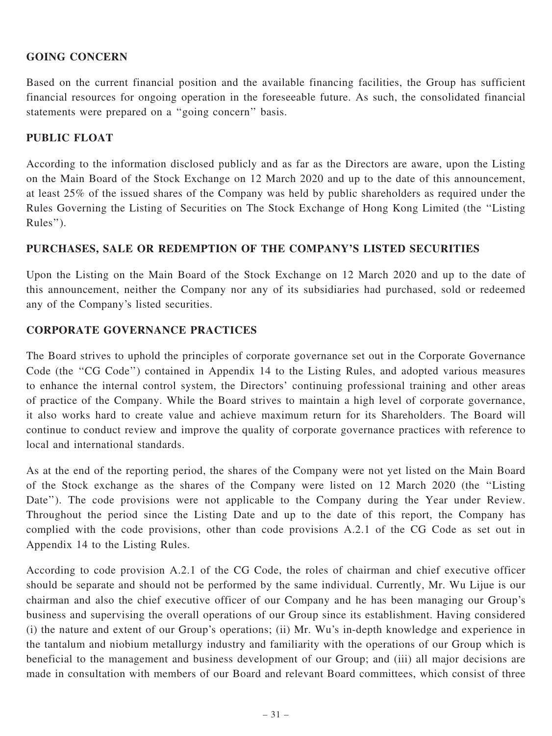# GOING CONCERN

Based on the current financial position and the available financing facilities, the Group has sufficient financial resources for ongoing operation in the foreseeable future. As such, the consolidated financial statements were prepared on a ''going concern'' basis.

# PUBLIC FLOAT

According to the information disclosed publicly and as far as the Directors are aware, upon the Listing on the Main Board of the Stock Exchange on 12 March 2020 and up to the date of this announcement, at least 25% of the issued shares of the Company was held by public shareholders as required under the Rules Governing the Listing of Securities on The Stock Exchange of Hong Kong Limited (the ''Listing Rules'').

# PURCHASES, SALE OR REDEMPTION OF THE COMPANY'S LISTED SECURITIES

Upon the Listing on the Main Board of the Stock Exchange on 12 March 2020 and up to the date of this announcement, neither the Company nor any of its subsidiaries had purchased, sold or redeemed any of the Company's listed securities.

# CORPORATE GOVERNANCE PRACTICES

The Board strives to uphold the principles of corporate governance set out in the Corporate Governance Code (the ''CG Code'') contained in Appendix 14 to the Listing Rules, and adopted various measures to enhance the internal control system, the Directors' continuing professional training and other areas of practice of the Company. While the Board strives to maintain a high level of corporate governance, it also works hard to create value and achieve maximum return for its Shareholders. The Board will continue to conduct review and improve the quality of corporate governance practices with reference to local and international standards.

As at the end of the reporting period, the shares of the Company were not yet listed on the Main Board of the Stock exchange as the shares of the Company were listed on 12 March 2020 (the ''Listing Date"). The code provisions were not applicable to the Company during the Year under Review. Throughout the period since the Listing Date and up to the date of this report, the Company has complied with the code provisions, other than code provisions A.2.1 of the CG Code as set out in Appendix 14 to the Listing Rules.

According to code provision A.2.1 of the CG Code, the roles of chairman and chief executive officer should be separate and should not be performed by the same individual. Currently, Mr. Wu Lijue is our chairman and also the chief executive officer of our Company and he has been managing our Group's business and supervising the overall operations of our Group since its establishment. Having considered (i) the nature and extent of our Group's operations; (ii) Mr. Wu's in-depth knowledge and experience in the tantalum and niobium metallurgy industry and familiarity with the operations of our Group which is beneficial to the management and business development of our Group; and (iii) all major decisions are made in consultation with members of our Board and relevant Board committees, which consist of three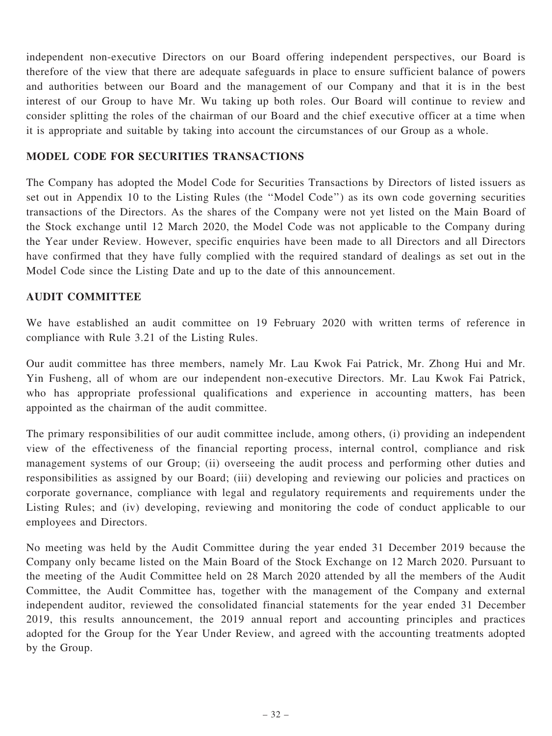independent non-executive Directors on our Board offering independent perspectives, our Board is therefore of the view that there are adequate safeguards in place to ensure sufficient balance of powers and authorities between our Board and the management of our Company and that it is in the best interest of our Group to have Mr. Wu taking up both roles. Our Board will continue to review and consider splitting the roles of the chairman of our Board and the chief executive officer at a time when it is appropriate and suitable by taking into account the circumstances of our Group as a whole.

# MODEL CODE FOR SECURITIES TRANSACTIONS

The Company has adopted the Model Code for Securities Transactions by Directors of listed issuers as set out in Appendix 10 to the Listing Rules (the ''Model Code'') as its own code governing securities transactions of the Directors. As the shares of the Company were not yet listed on the Main Board of the Stock exchange until 12 March 2020, the Model Code was not applicable to the Company during the Year under Review. However, specific enquiries have been made to all Directors and all Directors have confirmed that they have fully complied with the required standard of dealings as set out in the Model Code since the Listing Date and up to the date of this announcement.

# AUDIT COMMITTEE

We have established an audit committee on 19 February 2020 with written terms of reference in compliance with Rule 3.21 of the Listing Rules.

Our audit committee has three members, namely Mr. Lau Kwok Fai Patrick, Mr. Zhong Hui and Mr. Yin Fusheng, all of whom are our independent non-executive Directors. Mr. Lau Kwok Fai Patrick, who has appropriate professional qualifications and experience in accounting matters, has been appointed as the chairman of the audit committee.

The primary responsibilities of our audit committee include, among others, (i) providing an independent view of the effectiveness of the financial reporting process, internal control, compliance and risk management systems of our Group; (ii) overseeing the audit process and performing other duties and responsibilities as assigned by our Board; (iii) developing and reviewing our policies and practices on corporate governance, compliance with legal and regulatory requirements and requirements under the Listing Rules; and (iv) developing, reviewing and monitoring the code of conduct applicable to our employees and Directors.

No meeting was held by the Audit Committee during the year ended 31 December 2019 because the Company only became listed on the Main Board of the Stock Exchange on 12 March 2020. Pursuant to the meeting of the Audit Committee held on 28 March 2020 attended by all the members of the Audit Committee, the Audit Committee has, together with the management of the Company and external independent auditor, reviewed the consolidated financial statements for the year ended 31 December 2019, this results announcement, the 2019 annual report and accounting principles and practices adopted for the Group for the Year Under Review, and agreed with the accounting treatments adopted by the Group.